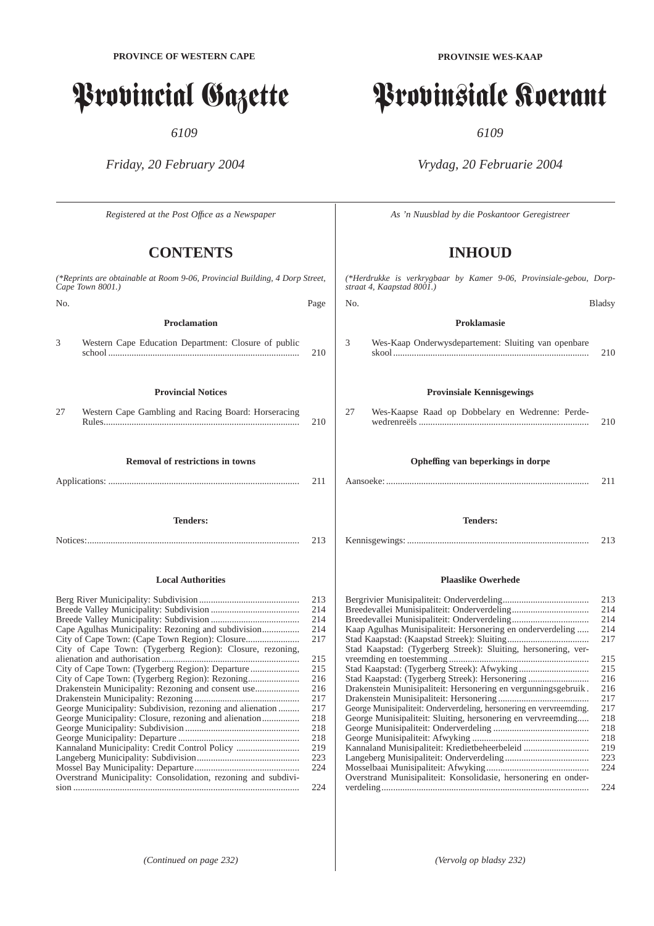# Provincial Gazette

*6109*

*Friday, 20 February 2004*

*Registered at the Post Offıce as a Newspaper*

# **CONTENTS**

| (*Reprints are obtainable at Room 9-06, Provincial Building, 4 Dorp Street,<br>Cape Town 8001.) |                                                               |            |
|-------------------------------------------------------------------------------------------------|---------------------------------------------------------------|------------|
| No.                                                                                             |                                                               | Page       |
|                                                                                                 | <b>Proclamation</b>                                           |            |
|                                                                                                 |                                                               |            |
| 3                                                                                               | Western Cape Education Department: Closure of public          | 210        |
|                                                                                                 | <b>Provincial Notices</b>                                     |            |
| 27                                                                                              | Western Cape Gambling and Racing Board: Horseracing           |            |
|                                                                                                 |                                                               | 210        |
|                                                                                                 | <b>Removal of restrictions in towns</b>                       |            |
|                                                                                                 |                                                               |            |
|                                                                                                 |                                                               | 211        |
|                                                                                                 |                                                               |            |
|                                                                                                 | <b>Tenders:</b>                                               |            |
|                                                                                                 |                                                               | 213        |
|                                                                                                 | <b>Local Authorities</b>                                      |            |
|                                                                                                 |                                                               |            |
|                                                                                                 |                                                               | 213        |
|                                                                                                 |                                                               | 214<br>214 |
|                                                                                                 | Cape Agulhas Municipality: Rezoning and subdivision           | 214        |
|                                                                                                 |                                                               | 217        |
|                                                                                                 | City of Cape Town: (Tygerberg Region): Closure, rezoning,     |            |
|                                                                                                 |                                                               | 215        |
|                                                                                                 | City of Cape Town: (Tygerberg Region): Departure              | 215        |
|                                                                                                 |                                                               | 216        |
|                                                                                                 | Drakenstein Municipality: Rezoning and consent use            | 216        |
|                                                                                                 |                                                               | 217        |
|                                                                                                 | George Municipality: Subdivision, rezoning and alienation     | 217        |
|                                                                                                 | George Municipality: Closure, rezoning and alienation         | 218        |
|                                                                                                 |                                                               | 218        |
|                                                                                                 |                                                               | 218        |
|                                                                                                 | Kannaland Municipality: Credit Control Policy                 | 219        |
|                                                                                                 |                                                               | 223        |
|                                                                                                 |                                                               | 224        |
|                                                                                                 | Overstrand Municipality: Consolidation, rezoning and subdivi- |            |
|                                                                                                 |                                                               | 224        |

# Provinsiale Koerant

*6109*

*Vrydag, 20 Februarie 2004*

*As 'n Nuusblad by die Poskantoor Geregistreer*

# **INHOUD**

*(\*Herdrukke is verkrygbaar by Kamer 9-06, Provinsiale-gebou, Dorpstraat 4, Kaapstad 8001.)* No. Bladsy

**Proklamasie** 3 Wes-Kaap Onderwysdepartement: Sluiting van openbare skool .................................................................................... 210

#### **Provinsiale Kennisgewings**

| 27 | Wes-Kaapse Raad op Dobbelary en Wedrenne: Perde- |     |
|----|--------------------------------------------------|-----|
|    |                                                  | 210 |

#### **Opheffing van beperkings in dorpe**

#### **Tenders:**

Kennisgewings: .............................................................................. 213

#### **Plaaslike Owerhede**

| 213 |
|-----|
| 214 |
| 214 |
| 214 |
| 217 |
|     |
| 215 |
| 215 |
| 216 |
| 216 |
| 217 |
| 217 |
| 218 |
| 218 |
| 218 |
| 219 |
| 223 |
| 224 |
|     |
| 224 |
|     |

*(Continued on page 232) (Vervolg op bladsy 232)*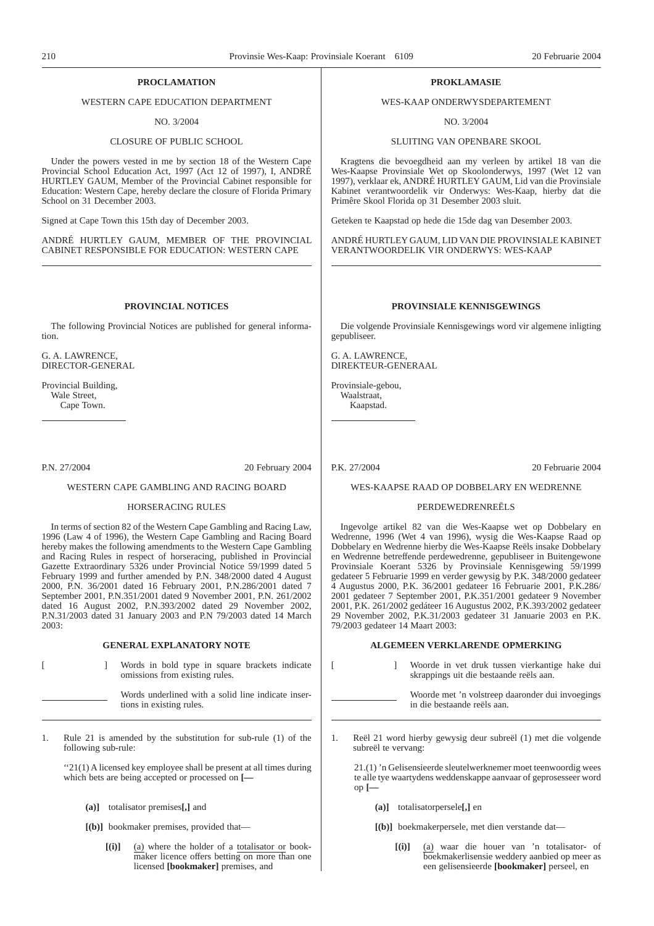#### **PROCLAMATION**

#### WESTERN CAPE EDUCATION DEPARTMENT

NO. 3/2004

#### CLOSURE OF PUBLIC SCHOOL

Under the powers vested in me by section 18 of the Western Cape Provincial School Education Act, 1997 (Act 12 of 1997), I, ANDRÉ HURTLEY GAUM, Member of the Provincial Cabinet responsible for Education: Western Cape, hereby declare the closure of Florida Primary School on 31 December 2003.

Signed at Cape Town this 15th day of December 2003.

ANDRÉ HURTLEY GAUM, MEMBER OF THE PROVINCIAL CABINET RESPONSIBLE FOR EDUCATION: WESTERN CAPE

#### **PROVINCIAL NOTICES**

The following Provincial Notices are published for general information.

G. A. LAWRENCE, DIRECTOR-GENERAL

Provincial Building, Wale Street, Cape Town.

P.N. 27/2004 20 February 2004

#### WESTERN CAPE GAMBLING AND RACING BOARD

#### HORSERACING RULES

In terms of section 82 of the Western Cape Gambling and Racing Law, 1996 (Law 4 of 1996), the Western Cape Gambling and Racing Board hereby makes the following amendments to the Western Cape Gambling and Racing Rules in respect of horseracing, published in Provincial Gazette Extraordinary 5326 under Provincial Notice 59/1999 dated 5 February 1999 and further amended by P.N. 348/2000 dated 4 August 2000, P.N. 36/2001 dated 16 February 2001, P.N.286/2001 dated 7 September 2001, P.N.351/2001 dated 9 November 2001, P.N. 261/2002 dated 16 August 2002, P.N.393/2002 dated 29 November 2002, P.N.31/2003 dated 31 January 2003 and P.N 79/2003 dated 14 March 2003:

#### **GENERAL EXPLANATORY NOTE**

[ ] Words in bold type in square brackets indicate omissions from existing rules.

Words underlined with a solid line indicate insertions in existing rules.

Rule 21 is amended by the substitution for sub-rule (1) of the following sub-rule:

''21(1) A licensed key employee shall be present at all times during which bets are being accepted or processed on **[—**

- **(a)]** totalisator premises**[,]** and
- **[(b)]** bookmaker premises, provided that—
	- **[(i)]** (a) where the holder of a totalisator or bookmaker licence offers betting on more than one licensed **[bookmaker]** premises, and

#### **PROKLAMASIE**

#### WES-KAAP ONDERWYSDEPARTEMENT

NO. 3/2004

#### SLUITING VAN OPENBARE SKOOL

Kragtens die bevoegdheid aan my verleen by artikel 18 van die Wes-Kaapse Provinsiale Wet op Skoolonderwys, 1997 (Wet 12 van 1997), verklaar ek, ANDRÉ HURTLEY GAUM, Lid van die Provinsiale Kabinet verantwoordelik vir Onderwys: Wes-Kaap, hierby dat die Primêre Skool Florida op 31 Desember 2003 sluit.

Geteken te Kaapstad op hede die 15de dag van Desember 2003.

ANDRÉ HURTLEY GAUM, LID VAN DIE PROVINSIALE KABINET VERANTWOORDELIK VIR ONDERWYS: WES-KAAP

#### **PROVINSIALE KENNISGEWINGS**

Die volgende Provinsiale Kennisgewings word vir algemene inligting gepubliseer.

G. A. LAWRENCE, DIREKTEUR-GENERAAL

Provinsiale-gebou, Waalstraat, Kaapstad.

P.K. 27/2004 20 Februarie 2004

#### WES-KAAPSE RAAD OP DOBBELARY EN WEDRENNE

#### PERDEWEDRENREËLS

Ingevolge artikel 82 van die Wes-Kaapse wet op Dobbelary en Wedrenne, 1996 (Wet 4 van 1996), wysig die Wes-Kaapse Raad op Dobbelary en Wedrenne hierby die Wes-Kaapse Reëls insake Dobbelary en Wedrenne betreffende perdewedrenne, gepubliseer in Buitengewone Provinsiale Koerant 5326 by Provinsiale Kennisgewing 59/1999 gedateer 5 Februarie 1999 en verder gewysig by P.K. 348/2000 gedateer 4 Augustus 2000, P.K. 36/2001 gedateer 16 Februarie 2001, P.K.286/ 2001 gedateer 7 September 2001, P.K.351/2001 gedateer 9 November 2001, P.K. 261/2002 gedáteer 16 Augustus 2002, P.K.393/2002 gedateer 29 November 2002, P.K.31/2003 gedateer 31 Januarie 2003 en P.K. 79/2003 gedateer 14 Maart 2003:

#### **ALGEMEEN VERKLARENDE OPMERKING**

[ ] Woorde in vet druk tussen vierkantige hake dui skrappings uit die bestaande reëls aan.

- Woorde met 'n volstreep daaronder dui invoegings in die bestaande reëls aan.
- 1. Reël 21 word hierby gewysig deur subreël (1) met die volgende subreël te vervang:

21.(1) 'n Gelisensieerde sleutelwerknemer moet teenwoordig wees te alle tye waartydens weddenskappe aanvaar of geprosesseer word op **[—**

- **(a)]** totalisatorpersele**[,]** en
- **[(b)]** boekmakerpersele, met dien verstande dat—
	- **[(i)]** (a) waar die houer van 'n totalisator- of boekmakerlisensie weddery aanbied op meer as een gelisensieerde **[bookmaker]** perseel, en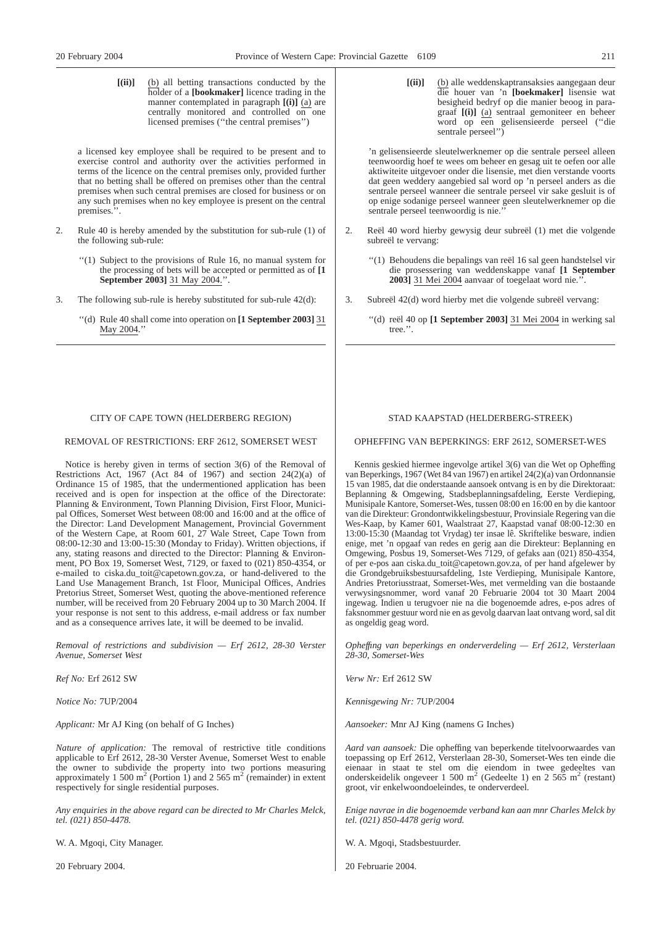**[(ii)]** (b) all betting transactions conducted by the holder of a **[bookmaker]** licence trading in the manner contemplated in paragraph **[(i)]** (a) are centrally monitored and controlled on one licensed premises (''the central premises'')

a licensed key employee shall be required to be present and to exercise control and authority over the activities performed in terms of the licence on the central premises only, provided further that no betting shall be offered on premises other than the central premises when such central premises are closed for business or on any such premises when no key employee is present on the central premises.''.

- 2. Rule 40 is hereby amended by the substitution for sub-rule (1) of the following sub-rule:
	- ''(1) Subject to the provisions of Rule 16, no manual system for the processing of bets will be accepted or permitted as of **[1 September 2003]** 31 May 2004.''.
- 3. The following sub-rule is hereby substituted for sub-rule 42(d):
	- ''(d) Rule 40 shall come into operation on **[1 September 2003]** 31 May 2004.'

#### CITY OF CAPE TOWN (HELDERBERG REGION)

#### REMOVAL OF RESTRICTIONS: ERF 2612, SOMERSET WEST

Notice is hereby given in terms of section 3(6) of the Removal of Restrictions Act, 1967 (Act 84 of 1967) and section 24(2)(a) of Ordinance 15 of 1985, that the undermentioned application has been received and is open for inspection at the office of the Directorate: Planning & Environment, Town Planning Division, First Floor, Municipal Offices, Somerset West between 08:00 and 16:00 and at the office of the Director: Land Development Management, Provincial Government of the Western Cape, at Room 601, 27 Wale Street, Cape Town from 08:00-12:30 and 13:00-15:30 (Monday to Friday). Written objections, if any, stating reasons and directed to the Director: Planning & Environment, PO Box 19, Somerset West, 7129, or faxed to (021) 850-4354, or e-mailed to ciska.du\_toit@capetown.gov.za, or hand-delivered to the Land Use Management Branch, 1st Floor, Municipal Offices, Andries Pretorius Street, Somerset West, quoting the above-mentioned reference number, will be received from 20 February 2004 up to 30 March 2004. If your response is not sent to this address, e-mail address or fax number and as a consequence arrives late, it will be deemed to be invalid.

*Removal of restrictions and subdivision — Erf 2612, 28-30 Verster Avenue, Somerset West*

*Ref No:* Erf 2612 SW

*Notice No:* 7UP/2004

*Applicant:* Mr AJ King (on behalf of G Inches)

*Nature of application:* The removal of restrictive title conditions applicable to Erf 2612, 28-30 Verster Avenue, Somerset West to enable the owner to subdivide the property into two portions measuring approximately 1 500 m<sup>2</sup> (Portion 1) and 2 565 m<sup>2</sup> (remainder) in extent respectively for single residential purposes.

*Any enquiries in the above regard can be directed to Mr Charles Melck, tel. (021) 850-4478.*

W. A. Mgoqi, City Manager.

20 February 2004.

**[(ii)]** (b) alle weddenskaptransaksies aangegaan deur die houer van 'n **[boekmaker]** lisensie wat besigheid bedryf op die manier beoog in paragraaf **[(i)]** (a) sentraal gemoniteer en beheer word op een gelisensieerde perseel (''die sentrale perseel")

'n gelisensieerde sleutelwerknemer op die sentrale perseel alleen teenwoordig hoef te wees om beheer en gesag uit te oefen oor alle aktiwiteite uitgevoer onder die lisensie, met dien verstande voorts dat geen weddery aangebied sal word op 'n perseel anders as die sentrale perseel wanneer die sentrale perseel vir sake gesluit is of op enige sodanige perseel wanneer geen sleutelwerknemer op die sentrale perseel teenwoordig is nie.''

- 2. Reël 40 word hierby gewysig deur subreël (1) met die volgende subreël te vervang:
	- ''(1) Behoudens die bepalings van reël 16 sal geen handstelsel vir die prosessering van weddenskappe vanaf **[1 September 2003]** 31 Mei 2004 aanvaar of toegelaat word nie.''.
- 3. Subreël 42(d) word hierby met die volgende subreël vervang:
	- ''(d) reël 40 op **[1 September 2003]** 31 Mei 2004 in werking sal tree.''.

### STAD KAAPSTAD (HELDERBERG-STREEK)

#### OPHEFFING VAN BEPERKINGS: ERF 2612, SOMERSET-WES

Kennis geskied hiermee ingevolge artikel 3(6) van die Wet op Opheffing van Beperkings, 1967 (Wet 84 van 1967) en artikel 24(2)(a) van Ordonnansie 15 van 1985, dat die onderstaande aansoek ontvang is en by die Direktoraat: Beplanning & Omgewing, Stadsbeplanningsafdeling, Eerste Verdieping, Munisipale Kantore, Somerset-Wes, tussen 08:00 en 16:00 en by die kantoor van die Direkteur: Grondontwikkelingsbestuur, Provinsiale Regering van die Wes-Kaap, by Kamer 601, Waalstraat 27, Kaapstad vanaf 08:00-12:30 en 13:00-15:30 (Maandag tot Vrydag) ter insae lê. Skriftelike besware, indien enige, met 'n opgaaf van redes en gerig aan die Direkteur: Beplanning en Omgewing, Posbus 19, Somerset-Wes 7129, of gefaks aan (021) 850-4354, of per e-pos aan ciska.du\_toit@capetown.gov.za, of per hand afgelewer by die Grondgebruiksbestuursafdeling, 1ste Verdieping, Munisipale Kantore, Andries Pretoriusstraat, Somerset-Wes, met vermelding van die bostaande verwysingsnommer, word vanaf 20 Februarie 2004 tot 30 Maart 2004 ingewag. Indien u terugvoer nie na die bogenoemde adres, e-pos adres of faksnommer gestuur word nie en as gevolg daarvan laat ontvang word, sal dit as ongeldig geag word.

*Opheffıng van beperkings en onderverdeling — Erf 2612, Versterlaan 28-30, Somerset-Wes*

*Verw Nr:* Erf 2612 SW

*Kennisgewing Nr:* 7UP/2004

*Aansoeker:* Mnr AJ King (namens G Inches)

*Aard van aansoek:* Die opheffing van beperkende titelvoorwaardes van toepassing op Erf 2612, Versterlaan 28-30, Somerset-Wes ten einde die eienaar in staat te stel om die eiendom in twee gedeeltes van onderskeidelik ongeveer 1 500 m<sup>2</sup> (Gedeelte 1) en 2 565 m<sup>2</sup> (restant) groot, vir enkelwoondoeleindes, te onderverdeel.

*Enige navrae in die bogenoemde verband kan aan mnr Charles Melck by tel. (021) 850-4478 gerig word.*

W. A. Mgoqi, Stadsbestuurder.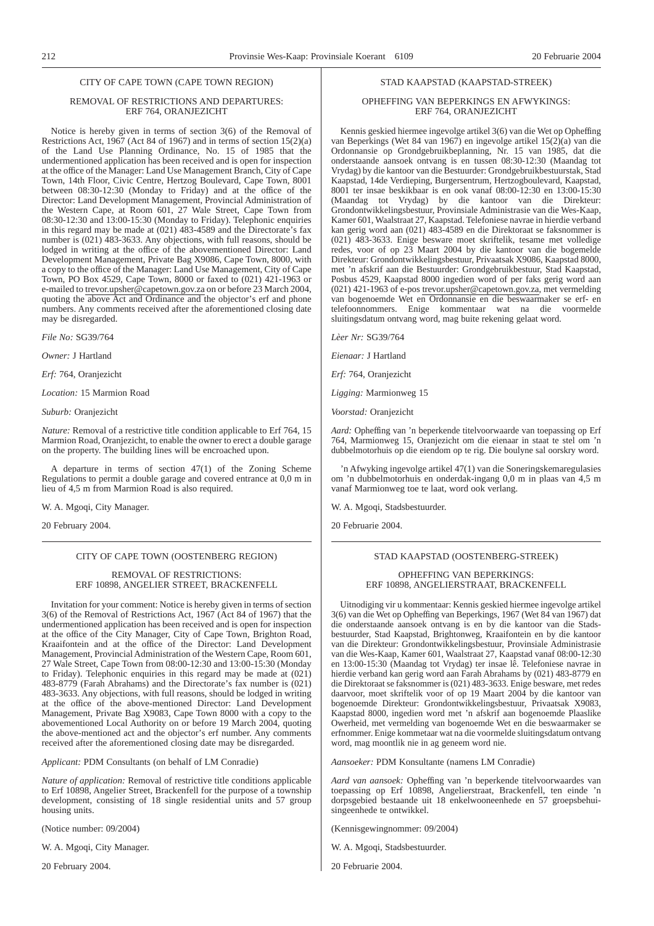#### CITY OF CAPE TOWN (CAPE TOWN REGION)

#### REMOVAL OF RESTRICTIONS AND DEPARTURES: ERF 764, ORANJEZICHT

Notice is hereby given in terms of section 3(6) of the Removal of Restrictions Act, 1967 (Act 84 of 1967) and in terms of section 15(2)(a) of the Land Use Planning Ordinance, No. 15 of 1985 that the undermentioned application has been received and is open for inspection at the office of the Manager: Land Use Management Branch, City of Cape Town, 14th Floor, Civic Centre, Hertzog Boulevard, Cape Town, 8001 between 08:30-12:30 (Monday to Friday) and at the office of the Director: Land Development Management, Provincial Administration of the Western Cape, at Room 601, 27 Wale Street, Cape Town from 08:30-12:30 and 13:00-15:30 (Monday to Friday). Telephonic enquiries in this regard may be made at (021) 483-4589 and the Directorate's fax number is (021) 483-3633. Any objections, with full reasons, should be lodged in writing at the office of the abovementioned Director: Land Development Management, Private Bag X9086, Cape Town, 8000, with a copy to the office of the Manager: Land Use Management, City of Cape Town, PO Box 4529, Cape Town, 8000 or faxed to (021) 421-1963 or e-mailed to trevor.upsher@capetown.gov.za on or before 23 March 2004, quoting the above Act and Ordinance and the objector's erf and phone numbers. Any comments received after the aforementioned closing date may be disregarded.

*File No:* SG39/764

*Owner:* J Hartland

*Erf:* 764, Oranjezicht

*Location:* 15 Marmion Road

*Suburb:* Oranjezicht

*Nature:* Removal of a restrictive title condition applicable to Erf 764, 15 Marmion Road, Oranjezicht, to enable the owner to erect a double garage on the property. The building lines will be encroached upon.

A departure in terms of section 47(1) of the Zoning Scheme Regulations to permit a double garage and covered entrance at 0,0 m in lieu of 4,5 m from Marmion Road is also required.

W. A. Mgoqi, City Manager.

20 February 2004.

#### CITY OF CAPE TOWN (OOSTENBERG REGION)

#### REMOVAL OF RESTRICTIONS: ERF 10898, ANGELIER STREET, BRACKENFELL

Invitation for your comment: Notice is hereby given in terms of section 3(6) of the Removal of Restrictions Act, 1967 (Act 84 of 1967) that the undermentioned application has been received and is open for inspection at the office of the City Manager, City of Cape Town, Brighton Road, Kraaifontein and at the office of the Director: Land Development Management, Provincial Administration of the Western Cape, Room 601, 27 Wale Street, Cape Town from 08:00-12:30 and 13:00-15:30 (Monday to Friday). Telephonic enquiries in this regard may be made at (021) 483-8779 (Farah Abrahams) and the Directorate's fax number is (021) 483-3633. Any objections, with full reasons, should be lodged in writing at the office of the above-mentioned Director: Land Development Management, Private Bag X9083, Cape Town 8000 with a copy to the abovementioned Local Authority on or before 19 March 2004, quoting the above-mentioned act and the objector's erf number. Any comments received after the aforementioned closing date may be disregarded.

*Applicant:* PDM Consultants (on behalf of LM Conradie)

*Nature of application:* Removal of restrictive title conditions applicable to Erf 10898, Angelier Street, Brackenfell for the purpose of a township development, consisting of 18 single residential units and 57 group housing units.

(Notice number: 09/2004)

W. A. Mgoqi, City Manager.

20 February 2004.

#### STAD KAAPSTAD (KAAPSTAD-STREEK)

#### OPHEFFING VAN BEPERKINGS EN AFWYKINGS: ERF 764, ORANJEZICHT

Kennis geskied hiermee ingevolge artikel 3(6) van die Wet op Opheffing van Beperkings (Wet 84 van 1967) en ingevolge artikel 15(2)(a) van die Ordonnansie op Grondgebruikbeplanning, Nr. 15 van 1985, dat die onderstaande aansoek ontvang is en tussen 08:30-12:30 (Maandag tot Vrydag) by die kantoor van die Bestuurder: Grondgebruikbestuurstak, Stad Kaapstad, 14de Verdieping, Burgersentrum, Hertzogboulevard, Kaapstad, 8001 ter insae beskikbaar is en ook vanaf 08:00-12:30 en 13:00-15:30 (Maandag tot Vrydag) by die kantoor van die Direkteur: Grondontwikkelingsbestuur, Provinsiale Administrasie van die Wes-Kaap, Kamer 601, Waalstraat 27, Kaapstad. Telefoniese navrae in hierdie verband kan gerig word aan (021) 483-4589 en die Direktoraat se faksnommer is (021) 483-3633. Enige besware moet skriftelik, tesame met volledige redes, voor of op 23 Maart 2004 by die kantoor van die bogemelde Direkteur: Grondontwikkelingsbestuur, Privaatsak X9086, Kaapstad 8000, met 'n afskrif aan die Bestuurder: Grondgebruikbestuur, Stad Kaapstad, Posbus 4529, Kaapstad 8000 ingedien word of per faks gerig word aan (021) 421-1963 of e-pos trevor.upsher@capetown.gov.za, met vermelding van bogenoemde Wet en Ordonnansie en die beswaarmaker se erf- en telefoonnommers. Enige kommentaar wat na die voormelde sluitingsdatum ontvang word, mag buite rekening gelaat word.

*Lèer Nr:* SG39/764

*Eienaar:* J Hartland

*Erf:* 764, Oranjezicht

*Ligging:* Marmionweg 15

*Voorstad:* Oranjezicht

*Aard:* Opheffing van 'n beperkende titelvoorwaarde van toepassing op Erf 764, Marmionweg 15, Oranjezicht om die eienaar in staat te stel om 'n dubbelmotorhuis op die eiendom op te rig. Die boulyne sal oorskry word.

'n Afwyking ingevolge artikel 47(1) van die Soneringskemaregulasies om 'n dubbelmotorhuis en onderdak-ingang 0,0 m in plaas van 4,5 m vanaf Marmionweg toe te laat, word ook verlang.

W. A. Mgoqi, Stadsbestuurder.

20 Februarie 2004.

#### STAD KAAPSTAD (OOSTENBERG-STREEK)

OPHEFFING VAN BEPERKINGS: ERF 10898, ANGELIERSTRAAT, BRACKENFELL

Uitnodiging vir u kommentaar: Kennis geskied hiermee ingevolge artikel 3(6) van die Wet op Opheffing van Beperkings, 1967 (Wet 84 van 1967) dat die onderstaande aansoek ontvang is en by die kantoor van die Stadsbestuurder, Stad Kaapstad, Brightonweg, Kraaifontein en by die kantoor van die Direkteur: Grondontwikkelingsbestuur, Provinsiale Administrasie van die Wes-Kaap, Kamer 601, Waalstraat 27, Kaapstad vanaf 08:00-12:30 en 13:00-15:30 (Maandag tot Vrydag) ter insae lê. Telefoniese navrae in hierdie verband kan gerig word aan Farah Abrahams by (021) 483-8779 en die Direktoraat se faksnommer is (021) 483-3633. Enige besware, met redes daarvoor, moet skriftelik voor of op 19 Maart 2004 by die kantoor van bogenoemde Direkteur: Grondontwikkelingsbestuur, Privaatsak X9083, Kaapstad 8000, ingedien word met 'n afskrif aan bogenoemde Plaaslike Owerheid, met vermelding van bogenoemde Wet en die beswaarmaker se erfnommer. Enige kommetaar wat na die voormelde sluitingsdatum ontvang word, mag moontlik nie in ag geneem word nie.

*Aansoeker:* PDM Konsultante (namens LM Conradie)

*Aard van aansoek:* Opheffing van 'n beperkende titelvoorwaardes van toepassing op Erf 10898, Angelierstraat, Brackenfell, ten einde 'n dorpsgebied bestaande uit 18 enkelwooneenhede en 57 groepsbehuisingeenhede te ontwikkel.

(Kennisgewingnommer: 09/2004)

W. A. Mgoqi, Stadsbestuurder.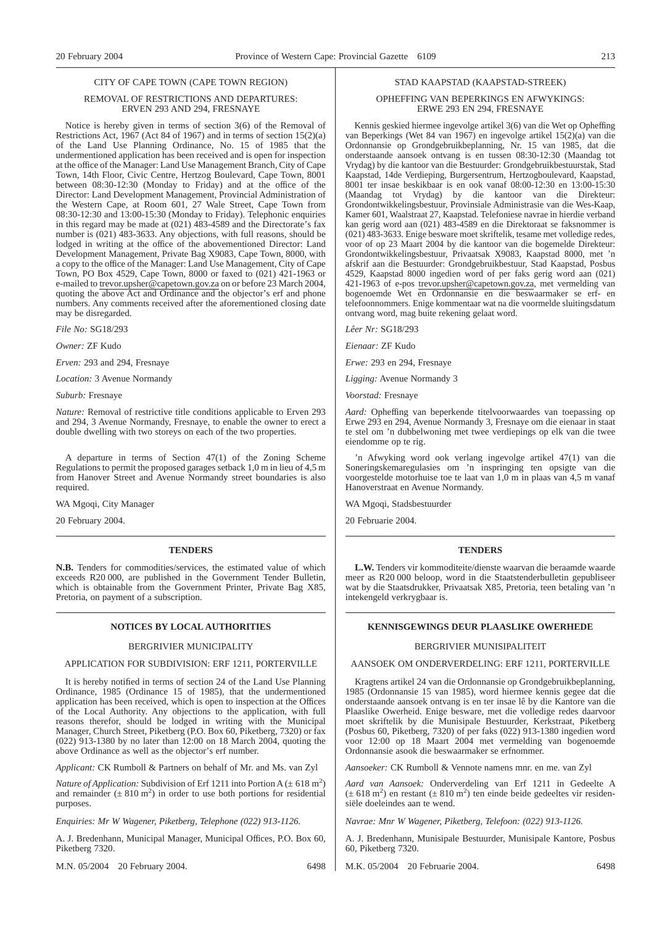#### CITY OF CAPE TOWN (CAPE TOWN REGION)

#### REMOVAL OF RESTRICTIONS AND DEPARTURES: ERVEN 293 AND 294, FRESNAYE

Notice is hereby given in terms of section 3(6) of the Removal of Restrictions Act, 1967 (Act 84 of 1967) and in terms of section 15(2)(a) of the Land Use Planning Ordinance, No. 15 of 1985 that the undermentioned application has been received and is open for inspection at the office of the Manager: Land Use Management Branch, City of Cape Town, 14th Floor, Civic Centre, Hertzog Boulevard, Cape Town, 8001 between 08:30-12:30 (Monday to Friday) and at the office of the Director: Land Development Management, Provincial Administration of the Western Cape, at Room 601, 27 Wale Street, Cape Town from 08:30-12:30 and 13:00-15:30 (Monday to Friday). Telephonic enquiries in this regard may be made at (021) 483-4589 and the Directorate's fax number is (021) 483-3633. Any objections, with full reasons, should be lodged in writing at the office of the abovementioned Director: Land Development Management, Private Bag X9083, Cape Town, 8000, with a copy to the office of the Manager: Land Use Management, City of Cape Town, PO Box 4529, Cape Town, 8000 or faxed to (021) 421-1963 or e-mailed to trevor.upsher@capetown.gov.za on or before 23 March 2004, quoting the above Act and Ordinance and the objector's erf and phone numbers. Any comments received after the aforementioned closing date may be disregarded.

*File No:* SG18/293

*Owner:* ZF Kudo

*Erven:* 293 and 294, Fresnaye

*Location:* 3 Avenue Normandy

*Suburb:* Fresnaye

*Nature:* Removal of restrictive title conditions applicable to Erven 293 and 294, 3 Avenue Normandy, Fresnaye, to enable the owner to erect a double dwelling with two storeys on each of the two properties.

A departure in terms of Section 47(1) of the Zoning Scheme Regulations to permit the proposed garages setback 1,0 m in lieu of 4,5 m from Hanover Street and Avenue Normandy street boundaries is also required.

WA Mgoqi, City Manager

20 February 2004.

#### **TENDERS**

**N.B.** Tenders for commodities/services, the estimated value of which exceeds R20 000, are published in the Government Tender Bulletin, which is obtainable from the Government Printer, Private Bag X85, Pretoria, on payment of a subscription.

#### BERGRIVIER MUNICIPALITY

APPLICATION FOR SUBDIVISION: ERF 1211, PORTERVILLE

It is hereby notified in terms of section 24 of the Land Use Planning Ordinance, 1985 (Ordinance 15 of 1985), that the undermentioned application has been received, which is open to inspection at the Offices of the Local Authority. Any objections to the application, with full reasons therefor, should be lodged in writing with the Municipal Manager, Church Street, Piketberg (P.O. Box 60, Piketberg, 7320) or fax (022) 913-1380 by no later than 12:00 on 18 March 2004, quoting the above Ordinance as well as the objector's erf number.

*Applicant:* CK Rumboll & Partners on behalf of Mr. and Ms. van Zyl

*Nature of Application:* Subdivision of Erf 1211 into Portion  $A (\pm 618 \text{ m}^2)$ and remainder  $(\pm 810 \text{ m}^2)$  in order to use both portions for residential purposes.

*Enquiries: Mr W Wagener, Piketberg, Telephone (022) 913-1126.*

A. J. Bredenhann, Municipal Manager, Municipal Offices, P.O. Box 60, Piketberg 7320.

M.N. 05/2004 20 February 2004. 6498

# STAD KAAPSTAD (KAAPSTAD-STREEK)

#### OPHEFFING VAN BEPERKINGS EN AFWYKINGS: ERWE 293 EN 294, FRESNAYE

Kennis geskied hiermee ingevolge artikel 3(6) van die Wet op Opheffing van Beperkings (Wet 84 van 1967) en ingevolge artikel 15(2)(a) van die Ordonnansie op Grondgebruikbeplanning, Nr. 15 van 1985, dat die onderstaande aansoek ontvang is en tussen 08:30-12:30 (Maandag tot Vrydag) by die kantoor van die Bestuurder: Grondgebruikbestuurstak, Stad Kaapstad, 14de Verdieping, Burgersentrum, Hertzogboulevard, Kaapstad, 8001 ter insae beskikbaar is en ook vanaf 08:00-12:30 en 13:00-15:30 (Maandag tot Vrydag) by die kantoor van die Direkteur: Grondontwikkelingsbestuur, Provinsiale Administrasie van die Wes-Kaap, Kamer 601, Waalstraat 27, Kaapstad. Telefoniese navrae in hierdie verband kan gerig word aan (021) 483-4589 en die Direktoraat se faksnommer is (021) 483-3633. Enige besware moet skriftelik, tesame met volledige redes, voor of op 23 Maart 2004 by die kantoor van die bogemelde Direkteur: Grondontwikkelingsbestuur, Privaatsak X9083, Kaapstad 8000, met 'n afskrif aan die Bestuurder: Grondgebruikbestuur, Stad Kaapstad, Posbus 4529, Kaapstad 8000 ingedien word of per faks gerig word aan (021) 421-1963 of e-pos trevor.upsher@capetown.gov.za, met vermelding van bogenoemde Wet en Ordonnansie en die beswaarmaker se erf- en telefoonnommers. Enige kommentaar wat na die voormelde sluitingsdatum ontvang word, mag buite rekening gelaat word.

*Lêer Nr:* SG18/293

*Eienaar:* ZF Kudo

*Erwe:* 293 en 294, Fresnaye

*Ligging:* Avenue Normandy 3

*Voorstad:* Fresnaye

*Aard:* Opheffing van beperkende titelvoorwaardes van toepassing op Erwe 293 en 294, Avenue Normandy 3, Fresnaye om die eienaar in staat te stel om 'n dubbelwoning met twee verdiepings op elk van die twee eiendomme op te rig.

'n Afwyking word ook verlang ingevolge artikel 47(1) van die Soneringskemaregulasies om 'n inspringing ten opsigte van die voorgestelde motorhuise toe te laat van 1,0 m in plaas van 4,5 m vanaf Hanoverstraat en Avenue Normandy.

WA Mgoqi, Stadsbestuurder

20 Februarie 2004.

#### **TENDERS**

**L.W.** Tenders vir kommoditeite/dienste waarvan die beraamde waarde meer as R20 000 beloop, word in die Staatstenderbulletin gepubliseer wat by die Staatsdrukker, Privaatsak X85, Pretoria, teen betaling van 'n intekengeld verkrygbaar is.

#### **NOTICES BY LOCAL AUTHORITIES KENNISGEWINGS DEUR PLAASLIKE OWERHEDE**

#### BERGRIVIER MUNISIPALITEIT

AANSOEK OM ONDERVERDELING: ERF 1211, PORTERVILLE

Kragtens artikel 24 van die Ordonnansie op Grondgebruikbeplanning, 1985 (Ordonnansie 15 van 1985), word hiermee kennis gegee dat die onderstaande aansoek ontvang is en ter insae lê by die Kantore van die Plaaslike Owerheid. Enige besware, met die volledige redes daarvoor moet skriftelik by die Munisipale Bestuurder, Kerkstraat, Piketberg (Posbus 60, Piketberg, 7320) of per faks (022) 913-1380 ingedien word voor 12:00 op 18 Maart 2004 met vermelding van bogenoemde Ordonnansie asook die beswaarmaker se erfnommer.

*Aansoeker:* CK Rumboll & Vennote namens mnr. en me. van Zyl

*Aard van Aansoek:* Onderverdeling van Erf 1211 in Gedeelte A  $(\pm 618 \text{ m}^2)$  en restant  $(\pm 810 \text{ m}^2)$  ten einde beide gedeeltes vir residensiële doeleindes aan te wend.

*Navrae: Mnr W Wagener, Piketberg, Telefoon: (022) 913-1126.*

A. J. Bredenhann, Munisipale Bestuurder, Munisipale Kantore, Posbus 60, Piketberg 7320.

M.K. 05/2004 20 Februarie 2004. 6498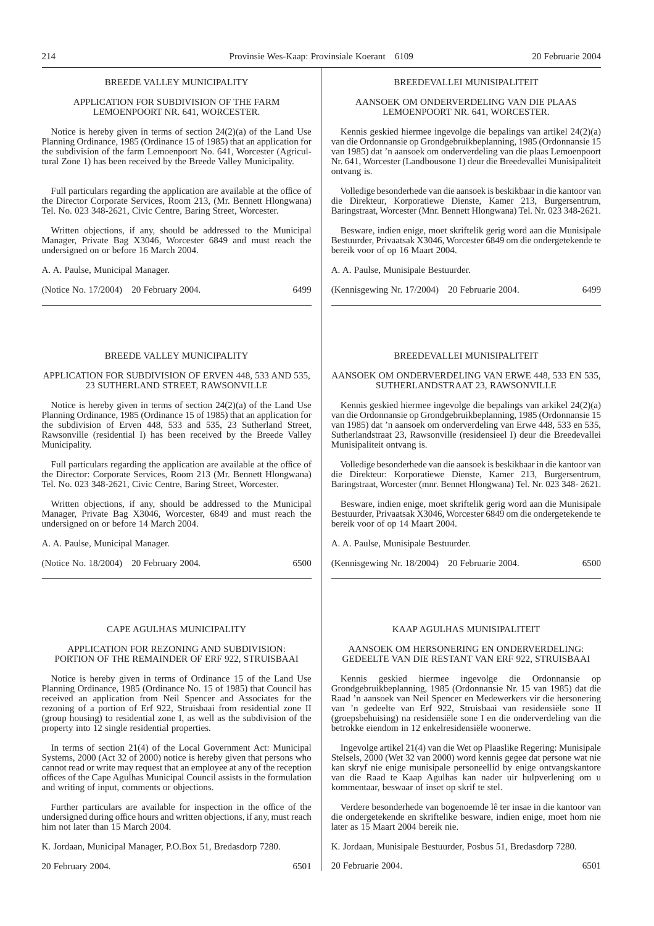#### BREEDE VALLEY MUNICIPALITY

#### APPLICATION FOR SUBDIVISION OF THE FARM LEMOENPOORT NR. 641, WORCESTER.

Notice is hereby given in terms of section 24(2)(a) of the Land Use Planning Ordinance, 1985 (Ordinance 15 of 1985) that an application for the subdivision of the farm Lemoenpoort No. 641, Worcester (Agricultural Zone 1) has been received by the Breede Valley Municipality.

Full particulars regarding the application are available at the office of the Director Corporate Services, Room 213, (Mr. Bennett Hlongwana) Tel. No. 023 348-2621, Civic Centre, Baring Street, Worcester.

Written objections, if any, should be addressed to the Municipal Manager, Private Bag X3046, Worcester 6849 and must reach the undersigned on or before 16 March 2004.

A. A. Paulse, Municipal Manager.

(Notice No. 17/2004) 20 February 2004. 6499

## BREEDE VALLEY MUNICIPALITY

#### APPLICATION FOR SUBDIVISION OF ERVEN 448, 533 AND 535, 23 SUTHERLAND STREET, RAWSONVILLE

Notice is hereby given in terms of section 24(2)(a) of the Land Use Planning Ordinance, 1985 (Ordinance 15 of 1985) that an application for the subdivision of Erven 448, 533 and 535, 23 Sutherland Street, Rawsonville (residential I) has been received by the Breede Valley Municipality.

Full particulars regarding the application are available at the office of the Director: Corporate Services, Room 213 (Mr. Bennett Hlongwana) Tel. No. 023 348-2621, Civic Centre, Baring Street, Worcester.

Written objections, if any, should be addressed to the Municipal Manager, Private Bag X3046, Worcester, 6849 and must reach the undersigned on or before 14 March 2004.

A. A. Paulse, Municipal Manager.

(Notice No. 18/2004) 20 February 2004. 6500

#### CAPE AGULHAS MUNICIPALITY

#### APPLICATION FOR REZONING AND SUBDIVISION: PORTION OF THE REMAINDER OF ERF 922, STRUISBAAI

Notice is hereby given in terms of Ordinance 15 of the Land Use Planning Ordinance, 1985 (Ordinance No. 15 of 1985) that Council has received an application from Neil Spencer and Associates for the rezoning of a portion of Erf 922, Struisbaai from residential zone II (group housing) to residential zone I, as well as the subdivision of the property into 12 single residential properties.

In terms of section 21(4) of the Local Government Act: Municipal Systems, 2000 (Act 32 of 2000) notice is hereby given that persons who cannot read or write may request that an employee at any of the reception offices of the Cape Agulhas Municipal Council assists in the formulation and writing of input, comments or objections.

Further particulars are available for inspection in the office of the undersigned during office hours and written objections, if any, must reach him not later than 15 March 2004.

K. Jordaan, Municipal Manager, P.O.Box 51, Bredasdorp 7280.

20 February 2004. 6501

#### BREEDEVALLEI MUNISIPALITEIT

AANSOEK OM ONDERVERDELING VAN DIE PLAAS LEMOENPOORT NR. 641, WORCESTER.

Kennis geskied hiermee ingevolge die bepalings van artikel 24(2)(a) van die Ordonnansie op Grondgebruikbeplanning, 1985 (Ordonnansie 15 van 1985) dat 'n aansoek om onderverdeling van die plaas Lemoenpoort Nr. 641, Worcester (Landbousone 1) deur die Breedevallei Munisipaliteit ontvang is.

Volledige besonderhede van die aansoek is beskikbaar in die kantoor van die Direkteur, Korporatiewe Dienste, Kamer 213, Burgersentrum, Baringstraat, Worcester (Mnr. Bennett Hlongwana) Tel. Nr. 023 348-2621.

Besware, indien enige, moet skriftelik gerig word aan die Munisipale Bestuurder, Privaatsak X3046, Worcester 6849 om die ondergetekende te bereik voor of op 16 Maart 2004.

A. A. Paulse, Munisipale Bestuurder.

(Kennisgewing Nr. 17/2004) 20 Februarie 2004. 6499

#### BREEDEVALLEI MUNISIPALITEIT

#### AANSOEK OM ONDERVERDELING VAN ERWE 448, 533 EN 535, SUTHERLANDSTRAAT 23, RAWSONVILLE

Kennis geskied hiermee ingevolge die bepalings van arkikel 24(2)(a) van die Ordonnansie op Grondgebruikbeplanning, 1985 (Ordonnansie 15 van 1985) dat 'n aansoek om onderverdeling van Erwe 448, 533 en 535, Sutherlandstraat 23, Rawsonville (residensieel I) deur die Breedevallei Munisipaliteit ontvang is.

Volledige besonderhede van die aansoek is beskikbaar in die kantoor van die Direkteur: Korporatiewe Dienste, Kamer 213, Burgersentrum, Baringstraat, Worcester (mnr. Bennet Hlongwana) Tel. Nr. 023 348- 2621.

Besware, indien enige, moet skriftelik gerig word aan die Munisipale Bestuurder, Privaatsak X3046, Worcester 6849 om die ondergetekende te bereik voor of op 14 Maart 2004.

A. A. Paulse, Munisipale Bestuurder.

(Kennisgewing Nr. 18/2004) 20 Februarie 2004. 6500

#### KAAP AGULHAS MUNISIPALITEIT

#### AANSOEK OM HERSONERING EN ONDERVERDELING: GEDEELTE VAN DIE RESTANT VAN ERF 922, STRUISBAAI

geskied hiermee ingevolge die Ordonnansie op Grondgebruikbeplanning, 1985 (Ordonnansie Nr. 15 van 1985) dat die Raad 'n aansoek van Neil Spencer en Medewerkers vir die hersonering van 'n gedeelte van Erf 922, Struisbaai van residensiële sone II (groepsbehuising) na residensiële sone I en die onderverdeling van die betrokke eiendom in 12 enkelresidensiële woonerwe.

Ingevolge artikel 21(4) van die Wet op Plaaslike Regering: Munisipale Stelsels, 2000 (Wet 32 van 2000) word kennis gegee dat persone wat nie kan skryf nie enige munisipale personeellid by enige ontvangskantore van die Raad te Kaap Agulhas kan nader uir hulpverlening om u kommentaar, beswaar of inset op skrif te stel.

Verdere besonderhede van bogenoemde lê ter insae in die kantoor van die ondergetekende en skriftelike besware, indien enige, moet hom nie later as 15 Maart 2004 bereik nie.

K. Jordaan, Munisipale Bestuurder, Posbus 51, Bredasdorp 7280.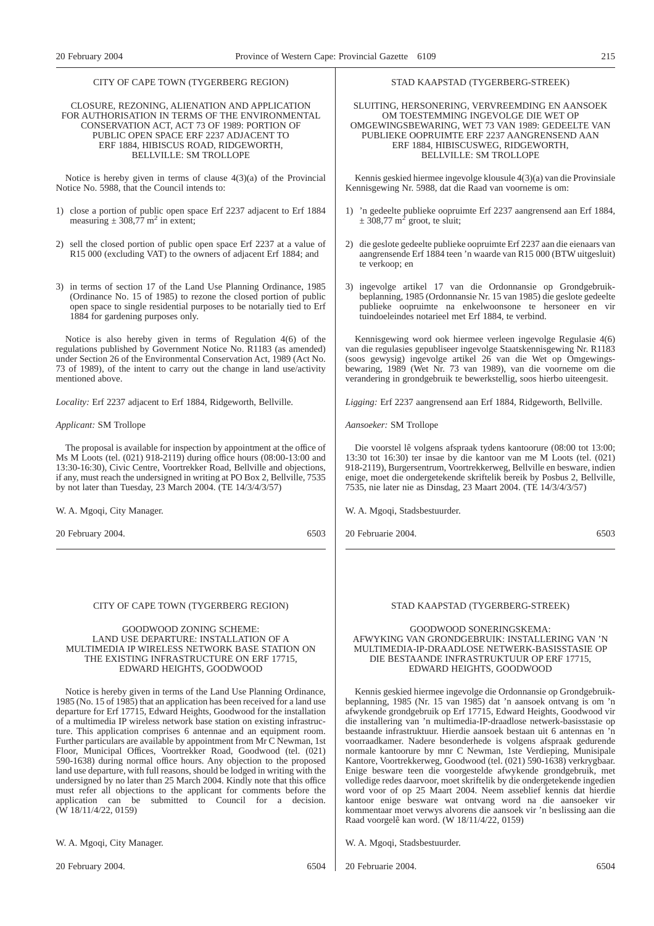#### CITY OF CAPE TOWN (TYGERBERG REGION)

#### CLOSURE, REZONING, ALIENATION AND APPLICATION FOR AUTHORISATION IN TERMS OF THE ENVIRONMENTAL CONSERVATION ACT, ACT 73 OF 1989: PORTION OF PUBLIC OPEN SPACE ERF 2237 ADJACENT TO ERF 1884, HIBISCUS ROAD, RIDGEWORTH, BELLVILLE: SM TROLLOPE

Notice is hereby given in terms of clause 4(3)(a) of the Provincial Notice No. 5988, that the Council intends to:

- 1) close a portion of public open space Erf 2237 adjacent to Erf 1884 measuring  $\pm 308,77$  m<sup>2</sup> in extent;
- 2) sell the closed portion of public open space Erf 2237 at a value of R15 000 (excluding VAT) to the owners of adjacent Erf 1884; and
- 3) in terms of section 17 of the Land Use Planning Ordinance, 1985 (Ordinance No. 15 of 1985) to rezone the closed portion of public open space to single residential purposes to be notarially tied to Erf 1884 for gardening purposes only.

Notice is also hereby given in terms of Regulation 4(6) of the regulations published by Government Notice No. R1183 (as amended) under Section 26 of the Environmental Conservation Act, 1989 (Act No. 73 of 1989), of the intent to carry out the change in land use/activity mentioned above.

*Locality:* Erf 2237 adjacent to Erf 1884, Ridgeworth, Bellville.

#### *Applicant:* SM Trollope

The proposal is available for inspection by appointment at the office of Ms M Loots (tel. (021) 918-2119) during office hours (08:00-13:00 and 13:30-16:30), Civic Centre, Voortrekker Road, Bellville and objections, if any, must reach the undersigned in writing at PO Box 2, Bellville, 7535 by not later than Tuesday, 23 March 2004. (TE 14/3/4/3/57)

W. A. Mgoqi, City Manager.

20 February 2004. 6503

#### CITY OF CAPE TOWN (TYGERBERG REGION)

#### GOODWOOD ZONING SCHEME: LAND USE DEPARTURE: INSTALLATION OF A MULTIMEDIA IP WIRELESS NETWORK BASE STATION ON THE EXISTING INFRASTRUCTURE ON ERF 17715, EDWARD HEIGHTS, GOODWOOD

Notice is hereby given in terms of the Land Use Planning Ordinance, 1985 (No. 15 of 1985) that an application has been received for a land use departure for Erf 17715, Edward Heights, Goodwood for the installation of a multimedia IP wireless network base station on existing infrastructure. This application comprises 6 antennae and an equipment room. Further particulars are available by appointment from Mr C Newman, 1st Floor, Municipal Offices, Voortrekker Road, Goodwood (tel. (021) 590-1638) during normal office hours. Any objection to the proposed land use departure, with full reasons, should be lodged in writing with the undersigned by no later than 25 March 2004. Kindly note that this office must refer all objections to the applicant for comments before the application can be submitted to Council for a decision. (W 18/11/4/22, 0159)

W. A. Mgoqi, City Manager.

20 February 2004. 6504

#### STAD KAAPSTAD (TYGERBERG-STREEK)

SLUITING, HERSONERING, VERVREEMDING EN AANSOEK OM TOESTEMMING INGEVOLGE DIE WET OP OMGEWINGSBEWARING, WET 73 VAN 1989: GEDEELTE VAN PUBLIEKE OOPRUIMTE ERF 2237 AANGRENSEND AAN ERF 1884, HIBISCUSWEG, RIDGEWORTH, BELLVILLE: SM TROLLOPE

Kennis geskied hiermee ingevolge klousule 4(3)(a) van die Provinsiale Kennisgewing Nr. 5988, dat die Raad van voorneme is om:

- 1) 'n gedeelte publieke oopruimte Erf 2237 aangrensend aan Erf 1884,  $\pm$  308,77 m<sup>2</sup> groot, te sluit;
- 2) die geslote gedeelte publieke oopruimte Erf 2237 aan die eienaars van aangrensende Erf 1884 teen 'n waarde van R15 000 (BTW uitgesluit) te verkoop; en
- 3) ingevolge artikel 17 van die Ordonnansie op Grondgebruikbeplanning, 1985 (Ordonnansie Nr. 15 van 1985) die geslote gedeelte publieke oopruimte na enkelwoonsone te hersoneer en vir tuindoeleindes notarieel met Erf 1884, te verbind.

Kennisgewing word ook hiermee verleen ingevolge Regulasie 4(6) van die regulasies gepubliseer ingevolge Staatskennisgewing Nr. R1183 (soos gewysig) ingevolge artikel 26 van die Wet op Omgewingsbewaring, 1989 (Wet Nr. 73 van 1989), van die voorneme om die verandering in grondgebruik te bewerkstellig, soos hierbo uiteengesit.

*Ligging:* Erf 2237 aangrensend aan Erf 1884, Ridgeworth, Bellville.

*Aansoeker:* SM Trollope

Die voorstel lê volgens afspraak tydens kantoorure (08:00 tot 13:00; 13:30 tot 16:30) ter insae by die kantoor van me M Loots (tel. (021) 918-2119), Burgersentrum, Voortrekkerweg, Bellville en besware, indien enige, moet die ondergetekende skriftelik bereik by Posbus 2, Bellville, 7535, nie later nie as Dinsdag, 23 Maart 2004. (TE 14/3/4/3/57)

W. A. Mgoqi, Stadsbestuurder.

20 Februarie 2004. 6503

#### STAD KAAPSTAD (TYGERBERG-STREEK)

#### GOODWOOD SONERINGSKEMA: AFWYKING VAN GRONDGEBRUIK: INSTALLERING VAN 'N MULTIMEDIA-IP-DRAADLOSE NETWERK-BASISSTASIE OP DIE BESTAANDE INFRASTRUKTUUR OP ERF 17715, EDWARD HEIGHTS, GOODWOOD

Kennis geskied hiermee ingevolge die Ordonnansie op Grondgebruikbeplanning, 1985 (Nr. 15 van 1985) dat 'n aansoek ontvang is om 'n afwykende grondgebruik op Erf 17715, Edward Heights, Goodwood vir die installering van 'n multimedia-IP-draadlose netwerk-basisstasie op bestaande infrastruktuur. Hierdie aansoek bestaan uit 6 antennas en 'n voorraadkamer. Nadere besonderhede is volgens afspraak gedurende normale kantoorure by mnr C Newman, 1ste Verdieping, Munisipale Kantore, Voortrekkerweg, Goodwood (tel. (021) 590-1638) verkrygbaar. Enige besware teen die voorgestelde afwykende grondgebruik, met volledige redes daarvoor, moet skriftelik by die ondergetekende ingedien word voor of op 25 Maart 2004. Neem asseblief kennis dat hierdie kantoor enige besware wat ontvang word na die aansoeker vir kommentaar moet verwys alvorens die aansoek vir 'n beslissing aan die Raad voorgelê kan word. (W 18/11/4/22, 0159)

W. A. Mgoqi, Stadsbestuurder.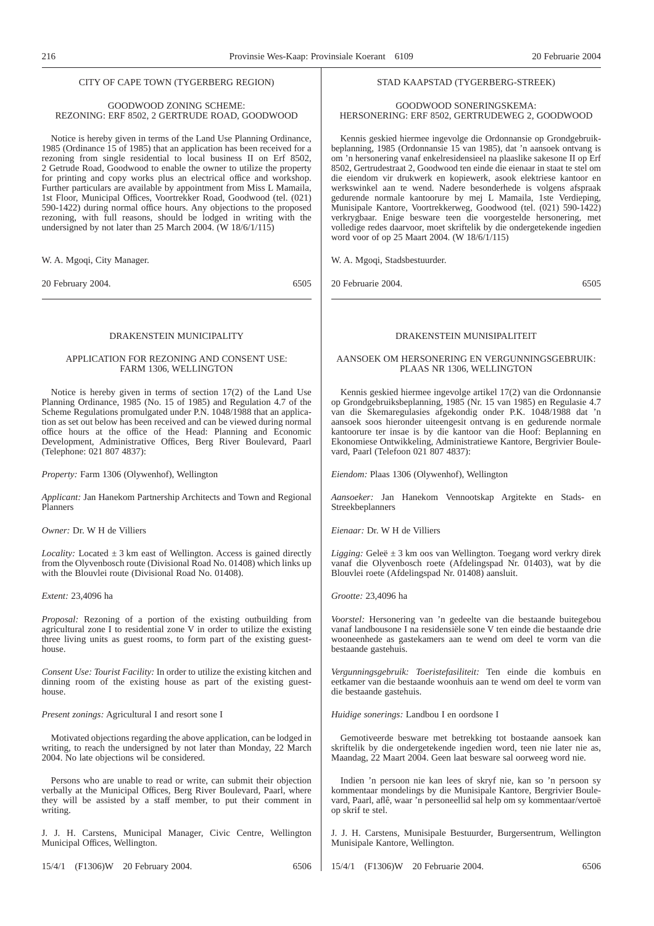#### CITY OF CAPE TOWN (TYGERBERG REGION)

#### GOODWOOD ZONING SCHEME: REZONING: ERF 8502, 2 GERTRUDE ROAD, GOODWOOD

Notice is hereby given in terms of the Land Use Planning Ordinance, 1985 (Ordinance 15 of 1985) that an application has been received for a rezoning from single residential to local business II on Erf 8502, 2 Getrude Road, Goodwood to enable the owner to utilize the property for printing and copy works plus an electrical office and workshop. Further particulars are available by appointment from Miss L Mamaila, 1st Floor, Municipal Offices, Voortrekker Road, Goodwood (tel. (021) 590-1422) during normal office hours. Any objections to the proposed rezoning, with full reasons, should be lodged in writing with the undersigned by not later than 25 March 2004. (W 18/6/1/115)

W. A. Mgoqi, City Manager.

20 February 2004. 6505

#### DRAKENSTEIN MUNICIPALITY

#### APPLICATION FOR REZONING AND CONSENT USE: FARM 1306, WELLINGTON

Notice is hereby given in terms of section 17(2) of the Land Use Planning Ordinance, 1985 (No. 15 of 1985) and Regulation 4.7 of the Scheme Regulations promulgated under P.N. 1048/1988 that an application as set out below has been received and can be viewed during normal office hours at the office of the Head: Planning and Economic Development, Administrative Offices, Berg River Boulevard, Paarl (Telephone: 021 807 4837):

*Property:* Farm 1306 (Olywenhof), Wellington

*Applicant:* Jan Hanekom Partnership Architects and Town and Regional Planners

*Owner:* Dr. W H de Villiers

*Locality:* Located  $\pm$  3 km east of Wellington. Access is gained directly from the Olyvenbosch route (Divisional Road No. 01408) which links up with the Blouvlei route (Divisional Road No. 01408).

*Extent:* 23,4096 ha

*Proposal:* Rezoning of a portion of the existing outbuilding from agricultural zone I to residential zone V in order to utilize the existing three living units as guest rooms, to form part of the existing guesthouse.

*Consent Use: Tourist Facility:* In order to utilize the existing kitchen and dinning room of the existing house as part of the existing guesthouse.

*Present zonings:* Agricultural I and resort sone I

Motivated objections regarding the above application, can be lodged in writing, to reach the undersigned by not later than Monday, 22 March 2004. No late objections wil be considered.

Persons who are unable to read or write, can submit their objection verbally at the Municipal Offices, Berg River Boulevard, Paarl, where they will be assisted by a staff member, to put their comment in writing.

J. J. H. Carstens, Municipal Manager, Civic Centre, Wellington Municipal Offices, Wellington.

15/4/1 (F1306)W 20 February 2004. 6506

#### STAD KAAPSTAD (TYGERBERG-STREEK)

#### GOODWOOD SONERINGSKEMA: HERSONERING: ERF 8502, GERTRUDEWEG 2, GOODWOOD

Kennis geskied hiermee ingevolge die Ordonnansie op Grondgebruikbeplanning, 1985 (Ordonnansie 15 van 1985), dat 'n aansoek ontvang is om 'n hersonering vanaf enkelresidensieel na plaaslike sakesone II op Erf 8502, Gertrudestraat 2, Goodwood ten einde die eienaar in staat te stel om die eiendom vir drukwerk en kopiewerk, asook elektriese kantoor en werkswinkel aan te wend. Nadere besonderhede is volgens afspraak gedurende normale kantoorure by mej L Mamaila, 1ste Verdieping, Munisipale Kantore, Voortrekkerweg, Goodwood (tel. (021) 590-1422) verkrygbaar. Enige besware teen die voorgestelde hersonering, met volledige redes daarvoor, moet skriftelik by die ondergetekende ingedien word voor of op 25 Maart 2004. (W 18/6/1/115)

W. A. Mgoqi, Stadsbestuurder.

20 Februarie 2004. 6505

#### DRAKENSTEIN MUNISIPALITEIT

#### AANSOEK OM HERSONERING EN VERGUNNINGSGEBRUIK: PLAAS NR 1306, WELLINGTON

Kennis geskied hiermee ingevolge artikel 17(2) van die Ordonnansie op Grondgebruiksbeplanning, 1985 (Nr. 15 van 1985) en Regulasie 4.7 van die Skemaregulasies afgekondig onder P.K. 1048/1988 dat 'n aansoek soos hieronder uiteengesit ontvang is en gedurende normale kantoorure ter insae is by die kantoor van die Hoof: Beplanning en Ekonomiese Ontwikkeling, Administratiewe Kantore, Bergrivier Boulevard, Paarl (Telefoon 021 807 4837):

*Eiendom:* Plaas 1306 (Olywenhof), Wellington

*Aansoeker:* Jan Hanekom Vennootskap Argitekte en Stads- en Streekbeplanners

*Eienaar:* Dr. W H de Villiers

*Ligging:* Geleë  $\pm$  3 km oos van Wellington. Toegang word verkry direk vanaf die Olyvenbosch roete (Afdelingspad Nr. 01403), wat by die Blouvlei roete (Afdelingspad Nr. 01408) aansluit.

*Grootte:* 23,4096 ha

*Voorstel:* Hersonering van 'n gedeelte van die bestaande buitegebou vanaf landbousone I na residensiële sone V ten einde die bestaande drie wooneenhede as gastekamers aan te wend om deel te vorm van die bestaande gastehuis.

*Vergunningsgebruik: Toeristefasiliteit:* Ten einde die kombuis en eetkamer van die bestaande woonhuis aan te wend om deel te vorm van die bestaande gastehuis.

*Huidige sonerings:* Landbou I en oordsone I

Gemotiveerde besware met betrekking tot bostaande aansoek kan skriftelik by die ondergetekende ingedien word, teen nie later nie as, Maandag, 22 Maart 2004. Geen laat besware sal oorweeg word nie.

Indien 'n persoon nie kan lees of skryf nie, kan so 'n persoon sy kommentaar mondelings by die Munisipale Kantore, Bergrivier Boulevard, Paarl, aflê, waar 'n personeellid sal help om sy kommentaar/vertoë op skrif te stel.

J. J. H. Carstens, Munisipale Bestuurder, Burgersentrum, Wellington Munisipale Kantore, Wellington.

15/4/1 (F1306)W 20 Februarie 2004. 6506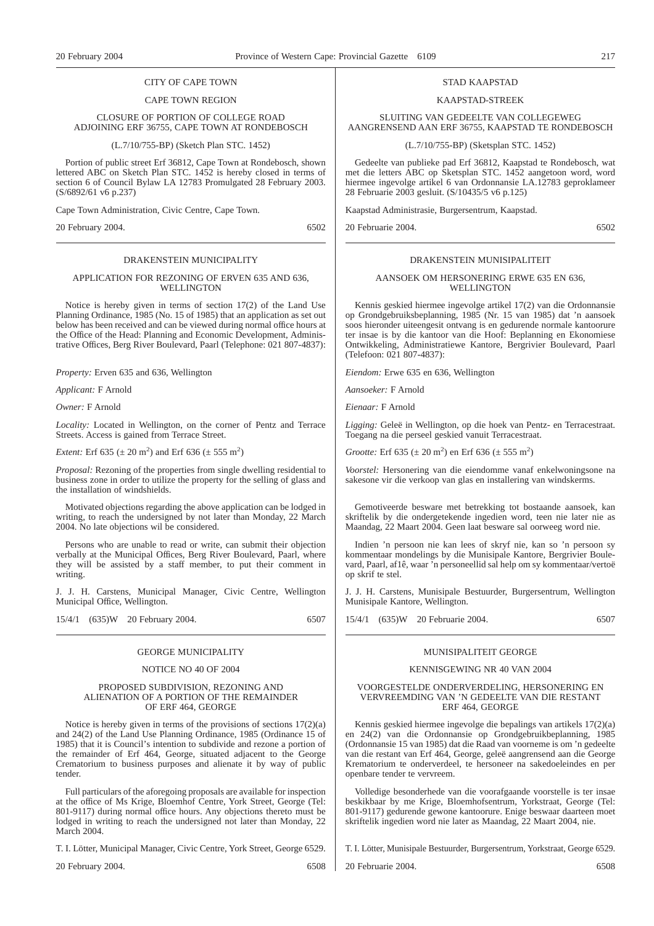#### CITY OF CAPE TOWN

#### CAPE TOWN REGION

#### CLOSURE OF PORTION OF COLLEGE ROAD ADJOINING ERF 36755, CAPE TOWN AT RONDEBOSCH

(L.7/10/755-BP) (Sketch Plan STC. 1452)

Portion of public street Erf 36812, Cape Town at Rondebosch, shown lettered ABC on Sketch Plan STC. 1452 is hereby closed in terms of section 6 of Council Bylaw LA 12783 Promulgated 28 February 2003. (S/6892/61 v6 p.237)

Cape Town Administration, Civic Centre, Cape Town.

20 February 2004. 6502

#### DRAKENSTEIN MUNICIPALITY

#### APPLICATION FOR REZONING OF ERVEN 635 AND 636, WELLINGTON

Notice is hereby given in terms of section 17(2) of the Land Use Planning Ordinance, 1985 (No. 15 of 1985) that an application as set out below has been received and can be viewed during normal office hours at the Office of the Head: Planning and Economic Development, Administrative Offices, Berg River Boulevard, Paarl (Telephone: 021 807-4837):

*Property:* Erven 635 and 636, Wellington

*Applicant:* F Arnold

*Owner:* F Arnold

*Locality:* Located in Wellington, on the corner of Pentz and Terrace Streets. Access is gained from Terrace Street.

*Extent:* Erf  $635 (\pm 20 \text{ m}^2)$  and Erf  $636 (\pm 555 \text{ m}^2)$ 

*Proposal:* Rezoning of the properties from single dwelling residential to business zone in order to utilize the property for the selling of glass and the installation of windshields.

Motivated objections regarding the above application can be lodged in writing, to reach the undersigned by not later than Monday, 22 March 2004. No late objections wil be considered.

Persons who are unable to read or write, can submit their objection verbally at the Municipal Offices, Berg River Boulevard, Paarl, where they will be assisted by a staff member, to put their comment in writing.

J. J. H. Carstens, Municipal Manager, Civic Centre, Wellington Municipal Office, Wellington.

15/4/1 (635)W 20 February 2004. 6507

#### GEORGE MUNICIPALITY

#### NOTICE NO 40 OF 2004

#### PROPOSED SUBDIVISION, REZONING AND ALIENATION OF A PORTION OF THE REMAINDER OF ERF 464, GEORGE

Notice is hereby given in terms of the provisions of sections 17(2)(a) and 24(2) of the Land Use Planning Ordinance, 1985 (Ordinance 15 of 1985) that it is Council's intention to subdivide and rezone a portion of the remainder of Erf 464, George, situated adjacent to the George Crematorium to business purposes and alienate it by way of public tender.

Full particulars of the aforegoing proposals are available for inspection at the office of Ms Krige, Bloemhof Centre, York Street, George (Tel: 801-9117) during normal office hours. Any objections thereto must be lodged in writing to reach the undersigned not later than Monday, 22 March 2004.

T. I. Lötter, Municipal Manager, Civic Centre, York Street, George 6529.

20 February 2004. 6508

#### STAD KAAPSTAD

#### KAAPSTAD-STREEK

SLUITING VAN GEDEELTE VAN COLLEGEWEG AANGRENSEND AAN ERF 36755, KAAPSTAD TE RONDEBOSCH

(L.7/10/755-BP) (Sketsplan STC. 1452)

Gedeelte van publieke pad Erf 36812, Kaapstad te Rondebosch, wat met die letters ABC op Sketsplan STC. 1452 aangetoon word, word hiermee ingevolge artikel 6 van Ordonnansie LA.12783 geproklameer 28 Februarie 2003 gesluit. (S/10435/5 v6 p.125)

Kaapstad Administrasie, Burgersentrum, Kaapstad.

20 Februarie 2004. 6502

#### DRAKENSTEIN MUNISIPALITEIT

#### AANSOEK OM HERSONERING ERWE 635 EN 636, WELLINGTON

Kennis geskied hiermee ingevolge artikel 17(2) van die Ordonnansie op Grondgebruiksbeplanning, 1985 (Nr. 15 van 1985) dat 'n aansoek soos hieronder uiteengesit ontvang is en gedurende normale kantoorure ter insae is by die kantoor van die Hoof: Beplanning en Ekonomiese Ontwikkeling, Administratiewe Kantore, Bergrivier Boulevard, Paarl (Telefoon: 021 807-4837):

*Eiendom:* Erwe 635 en 636, Wellington

*Aansoeker:* F Arnold

*Eienaar:* F Arnold

*Ligging:* Geleë in Wellington, op die hoek van Pentz- en Terracestraat. Toegang na die perseel geskied vanuit Terracestraat.

*Grootte:* Erf  $635 (\pm 20 \text{ m}^2)$  en Erf  $636 (\pm 555 \text{ m}^2)$ 

*Voorstel:* Hersonering van die eiendomme vanaf enkelwoningsone na sakesone vir die verkoop van glas en installering van windskerms.

Gemotiveerde besware met betrekking tot bostaande aansoek, kan skriftelik by die ondergetekende ingedien word, teen nie later nie as Maandag, 22 Maart 2004. Geen laat besware sal oorweeg word nie.

Indien 'n persoon nie kan lees of skryf nie, kan so 'n persoon sy kommentaar mondelings by die Munisipale Kantore, Bergrivier Boulevard, Paarl, af1ê, waar 'n personeellid sal help om sy kommentaar/vertoë op skrif te stel.

J. J. H. Carstens, Munisipale Bestuurder, Burgersentrum, Wellington Munisipale Kantore, Wellington.

15/4/1 (635)W 20 Februarie 2004. 6507

## MUNISIPALITEIT GEORGE

#### KENNISGEWING NR 40 VAN 2004

#### VOORGESTELDE ONDERVERDELING, HERSONERING EN VERVREEMDING VAN 'N GEDEELTE VAN DIE RESTANT ERF 464, GEORGE

Kennis geskied hiermee ingevolge die bepalings van artikels 17(2)(a) en 24(2) van die Ordonnansie op Grondgebruikbeplanning, 1985 (Ordonnansie 15 van 1985) dat die Raad van voorneme is om 'n gedeelte van die restant van Erf 464, George, geleë aangrensend aan die George Krematorium te onderverdeel, te hersoneer na sakedoeleindes en per openbare tender te vervreem.

Volledige besonderhede van die voorafgaande voorstelle is ter insae beskikbaar by me Krige, Bloemhofsentrum, Yorkstraat, George (Tel: 801-9117) gedurende gewone kantoorure. Enige beswaar daarteen moet skriftelik ingedien word nie later as Maandag, 22 Maart 2004, nie.

T. I. Lötter, Munisipale Bestuurder, Burgersentrum, Yorkstraat, George 6529.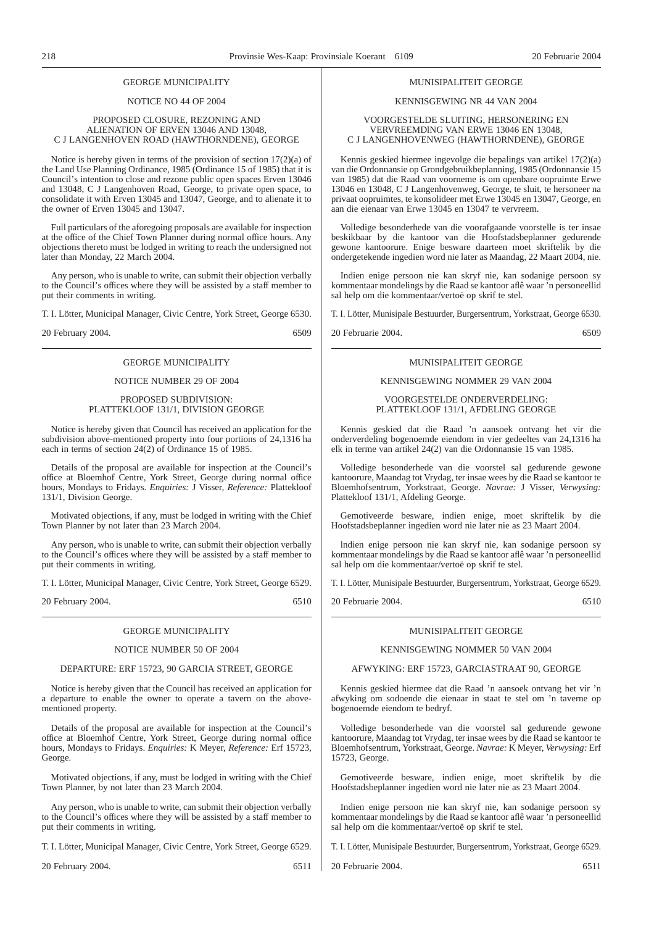### GEORGE MUNICIPALITY

#### NOTICE NO 44 OF 2004

#### PROPOSED CLOSURE, REZONING AND ALIENATION OF ERVEN 13046 AND 13048, C J LANGENHOVEN ROAD (HAWTHORNDENE), GEORGE

Notice is hereby given in terms of the provision of section 17(2)(a) of the Land Use Planning Ordinance, 1985 (Ordinance 15 of 1985) that it is Council's intention to close and rezone public open spaces Erven 13046 and 13048, C J Langenhoven Road, George, to private open space, to consolidate it with Erven 13045 and 13047, George, and to alienate it to the owner of Erven 13045 and 13047.

Full particulars of the aforegoing proposals are available for inspection at the office of the Chief Town Planner during normal office hours. Any objections thereto must be lodged in writing to reach the undersigned not later than Monday, 22 March 2004.

Any person, who is unable to write, can submit their objection verbally to the Council's offices where they will be assisted by a staff member to put their comments in writing.

T. I. Lötter, Municipal Manager, Civic Centre, York Street, George 6530.

20 February 2004. 6509

#### GEORGE MUNICIPALITY

#### NOTICE NUMBER 29 OF 2004

#### PROPOSED SUBDIVISION: PLATTEKLOOF 131/1, DIVISION GEORGE

Notice is hereby given that Council has received an application for the subdivision above-mentioned property into four portions of 24,1316 ha each in terms of section 24(2) of Ordinance 15 of 1985.

Details of the proposal are available for inspection at the Council's office at Bloemhof Centre, York Street, George during normal office hours, Mondays to Fridays. *Enquiries:* J Visser, *Reference:* Plattekloof 131/1, Division George.

Motivated objections, if any, must be lodged in writing with the Chief Town Planner by not later than 23 March 2004.

Any person, who is unable to write, can submit their objection verbally to the Council's offices where they will be assisted by a staff member to put their comments in writing.

T. I. Lötter, Municipal Manager, Civic Centre, York Street, George 6529.

20 February 2004. 6510

## GEORGE MUNICIPALITY

#### NOTICE NUMBER 50 OF 2004

#### DEPARTURE: ERF 15723, 90 GARCIA STREET, GEORGE

Notice is hereby given that the Council has received an application for a departure to enable the owner to operate a tavern on the abovementioned property.

Details of the proposal are available for inspection at the Council's office at Bloemhof Centre, York Street, George during normal office hours, Mondays to Fridays. *Enquiries:* K Meyer, *Reference:* Erf 15723, George.

Motivated objections, if any, must be lodged in writing with the Chief Town Planner, by not later than 23 March 2004.

Any person, who is unable to write, can submit their objection verbally to the Council's offices where they will be assisted by a staff member to put their comments in writing.

T. I. Lötter, Municipal Manager, Civic Centre, York Street, George 6529.

20 February 2004. 6511

#### MUNISIPALITEIT GEORGE

#### KENNISGEWING NR 44 VAN 2004

#### VOORGESTELDE SLUITING, HERSONERING EN VERVREEMDlNG VAN ERWE 13046 EN 13048, C J LANGENHOVENWEG (HAWTHORNDENE), GEORGE

Kennis geskied hiermee ingevolge die bepalings van artikel 17(2)(a) van die Ordonnansie op Grondgebruikbeplanning, 1985 (Ordonnansie 15 van 1985) dat die Raad van voorneme is om openbare oopruimte Erwe 13046 en 13048, C J Langenhovenweg, George, te sluit, te hersoneer na privaat oopruimtes, te konsolideer met Erwe 13045 en 13047, George, en aan die eienaar van Erwe 13045 en 13047 te vervreem.

Volledige besonderhede van die voorafgaande voorstelle is ter insae beskikbaar by die kantoor van die Hoofstadsbeplanner gedurende gewone kantoorure. Enige besware daarteen moet skriftelik by die ondergetekende ingedien word nie later as Maandag, 22 Maart 2004, nie.

Indien enige persoon nie kan skryf nie, kan sodanige persoon sy kommentaar mondelings by die Raad se kantoor aflê waar 'n personeellid sal help om die kommentaar/vertoë op skrif te stel.

T. I. Lötter, Munisipale Bestuurder, Burgersentrum, Yorkstraat, George 6530.

20 Februarie 2004. 6509

#### MUNISIPALITEIT GEORGE

#### KENNISGEWING NOMMER 29 VAN 2004

#### VOORGESTELDE ONDERVERDELING: PLATTEKLOOF 131/1, AFDELING GEORGE

Kennis geskied dat die Raad 'n aansoek ontvang het vir die onderverdeling bogenoemde eiendom in vier gedeeltes van 24,1316 ha elk in terme van artikel 24(2) van die Ordonnansie 15 van 1985.

Volledige besonderhede van die voorstel sal gedurende gewone kantoorure, Maandag tot Vrydag, ter insae wees by die Raad se kantoor te Bloemhofsentrum, Yorkstraat, George. *Navrae:* J Visser, *Verwysing:* Plattekloof 131/1, Afdeling George.

Gemotiveerde besware, indien enige, moet skriftelik by die Hoofstadsbeplanner ingedien word nie later nie as 23 Maart 2004.

lndien enige persoon nie kan skryf nie, kan sodanige persoon sy kommentaar mondelings by die Raad se kantoor aflê waar 'n personeellid sal help om die kommentaar/vertoë op skrif te stel.

T. I. Lötter, Munisipale Bestuurder, Burgersentrum, Yorkstraat, George 6529.

20 Februarie 2004. 6510

MUNISIPALITEIT GEORGE

#### KENNISGEWING NOMMER 50 VAN 2004

#### AFWYKING: ERF 15723, GARCIASTRAAT 90, GEORGE

Kennis geskied hiermee dat die Raad 'n aansoek ontvang het vir 'n afwyking om sodoende die eienaar in staat te stel om 'n taverne op bogenoemde eiendom te bedryf.

Volledige besonderhede van die voorstel sal gedurende gewone kantoorure, Maandag tot Vrydag, ter insae wees by die Raad se kantoor te Bloemhofsentrum, Yorkstraat, George. *Navrae:* K Meyer, *Verwysing:* Erf 15723, George.

Gemotiveerde besware, indien enige, moet skriftelik by die Hoofstadsbeplanner ingedien word nie later nie as 23 Maart 2004.

Indien enige persoon nie kan skryf nie, kan sodanige persoon sy kommentaar mondelings by die Raad se kantoor aflê waar 'n personeellid sal help om die kommentaar/vertoë op skrif te stel.

T. I. Lötter, Munisipale Bestuurder, Burgersentrum, Yorkstraat, George 6529.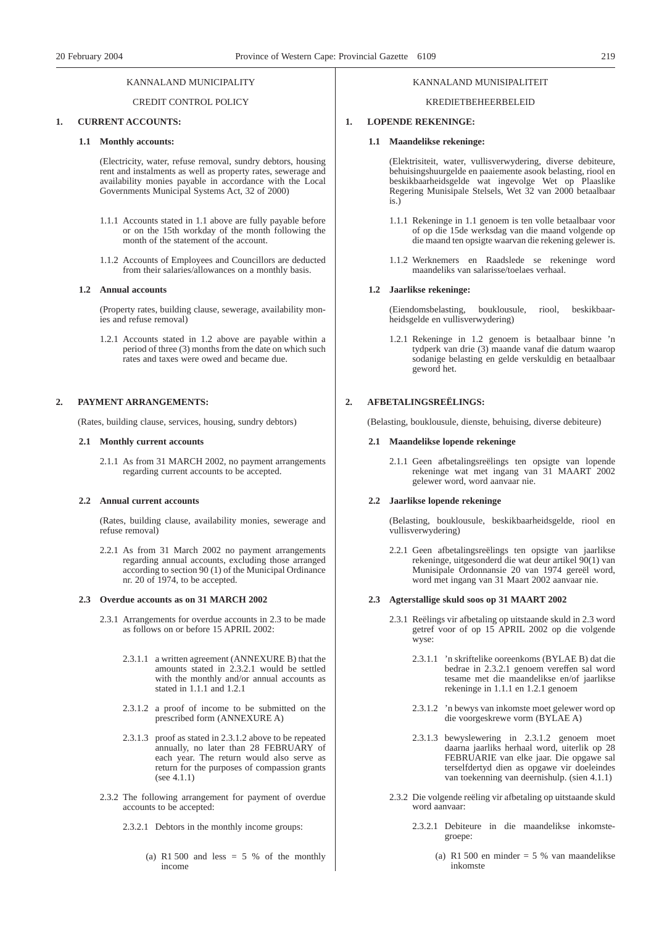#### KANNALAND MUNICIPALITY

#### CREDIT CONTROL POLICY

#### **1. CURRENT ACCOUNTS:**

#### **1.1 Monthly accounts:**

(Electricity, water, refuse removal, sundry debtors, housing rent and instalments as well as property rates, sewerage and availability monies payable in accordance with the Local Governments Municipal Systems Act, 32 of 2000)

- 1.1.1 Accounts stated in 1.1 above are fully payable before or on the 15th workday of the month following the month of the statement of the account.
- 1.1.2 Accounts of Employees and Councillors are deducted from their salaries/allowances on a monthly basis.

#### **1.2 Annual accounts**

(Property rates, building clause, sewerage, availability monies and refuse removal)

1.2.1 Accounts stated in 1.2 above are payable within a period of three (3) months from the date on which such rates and taxes were owed and became due.

#### **2. PAYMENT ARRANGEMENTS:**

(Rates, building clause, services, housing, sundry debtors)

#### **2.1 Monthly current accounts**

2.1.1 As from 31 MARCH 2002, no payment arrangements regarding current accounts to be accepted.

#### **2.2 Annual current accounts**

(Rates, building clause, availability monies, sewerage and refuse removal)

2.2.1 As from 31 March 2002 no payment arrangements regarding annual accounts, excluding those arranged according to section 90 (1) of the Municipal Ordinance nr. 20 of 1974, to be accepted.

#### **2.3 Overdue accounts as on 31 MARCH 2002**

- 2.3.1 Arrangements for overdue accounts in 2.3 to be made as follows on or before 15 APRIL 2002:
	- 2.3.1.1 a written agreement (ANNEXURE B) that the amounts stated in 2.3.2.1 would be settled with the monthly and/or annual accounts as stated in 1.1.1 and 1.2.1
	- 2.3.1.2 a proof of income to be submitted on the prescribed form (ANNEXURE A)
	- 2.3.1.3 proof as stated in 2.3.1.2 above to be repeated annually, no later than 28 FEBRUARY of each year. The return would also serve as return for the purposes of compassion grants (see 4.1.1)
- 2.3.2 The following arrangement for payment of overdue accounts to be accepted:
	- 2.3.2.1 Debtors in the monthly income groups:
		- (a) R1 500 and less  $= 5 %$  of the monthly income

### KANNALAND MUNISIPALITEIT

#### KREDIETBEHEERBELEID

#### **1. LOPENDE REKENINGE:**

#### **1.1 Maandelikse rekeninge:**

(Elektrisiteit, water, vullisverwydering, diverse debiteure, behuisingshuurgelde en paaiemente asook belasting, riool en beskikbaarheidsgelde wat ingevolge Wet op Plaaslike Regering Munisipale Stelsels, Wet 32 van 2000 betaalbaar is.)

- 1.1.1 Rekeninge in 1.1 genoem is ten volle betaalbaar voor of op die 15de werksdag van die maand volgende op die maand ten opsigte waarvan die rekening gelewer is.
- 1.1.2 Werknemers en Raadslede se rekeninge word maandeliks van salarisse/toelaes verhaal.

#### **1.2 Jaarlikse rekeninge:**

(Eiendomsbelasting, bouklousule, riool, beskikbaarheidsgelde en vullisverwydering)

1.2.1 Rekeninge in 1.2 genoem is betaalbaar binne 'n tydperk van drie (3) maande vanaf die datum waarop sodanige belasting en gelde verskuldig en betaalbaar geword het.

#### **2. AFBETALINGSREËLINGS:**

(Belasting, bouklousule, dienste, behuising, diverse debiteure)

#### **2.1 Maandelikse lopende rekeninge**

2.1.1 Geen afbetalingsreëlings ten opsigte van lopende rekeninge wat met ingang van 31 MAART 2002 gelewer word, word aanvaar nie.

#### **2.2 Jaarlikse lopende rekeninge**

(Belasting, bouklousule, beskikbaarheidsgelde, riool en vullisverwydering)

2.2.1 Geen afbetalingsreëlings ten opsigte van jaarlikse rekeninge, uitgesonderd die wat deur artikel 90(1) van Munisipale Ordonnansie 20 van 1974 gereël word, word met ingang van 31 Maart 2002 aanvaar nie.

#### **2.3 Agterstallige skuld soos op 31 MAART 2002**

- 2.3.1 Reëlings vir afbetaling op uitstaande skuld in 2.3 word getref voor of op 15 APRIL 2002 op die volgende wyse:
	- 2.3.1.1 'n skriftelike ooreenkoms (BYLAE B) dat die bedrae in 2.3.2.1 genoem vereffen sal word tesame met die maandelikse en/of jaarlikse rekeninge in 1.1.1 en 1.2.1 genoem
	- 2.3.1.2 'n bewys van inkomste moet gelewer word op die voorgeskrewe vorm (BYLAE A)
	- 2.3.1.3 bewyslewering in 2.3.1.2 genoem moet daarna jaarliks herhaal word, uiterlik op 28 FEBRUARIE van elke jaar. Die opgawe sal terselfdertyd dien as opgawe vir doeleindes van toekenning van deernishulp. (sien 4.1.1)
- 2.3.2 Die volgende reëling vir afbetaling op uitstaande skuld word aanvaar:
	- 2.3.2.1 Debiteure in die maandelikse inkomstegroepe:
		- (a) R1 500 en minder  $= 5 %$  van maandelikse inkomste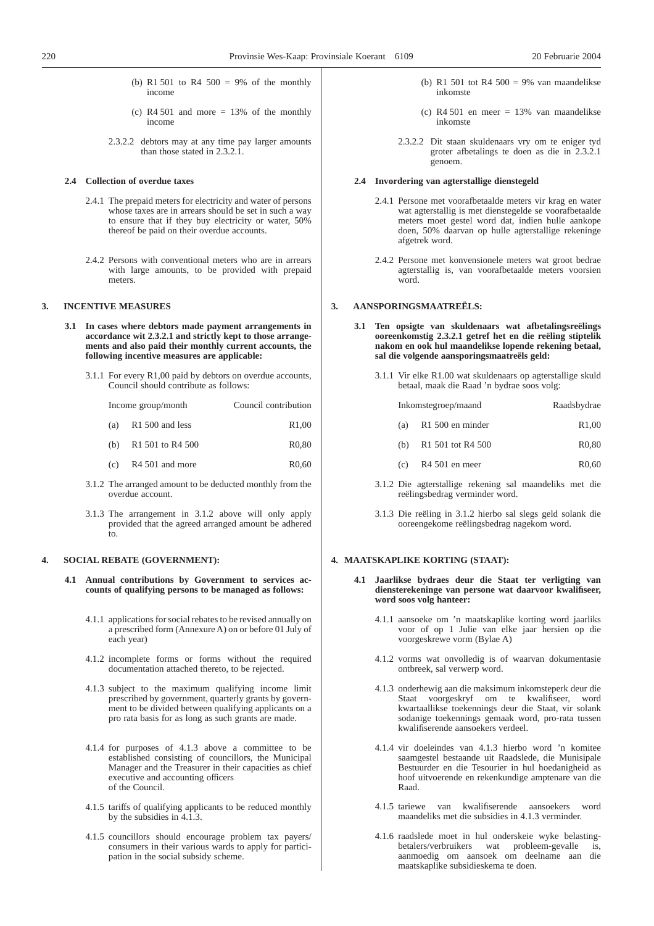- (b) R1 501 to R4 500 = 9% of the monthly income
- (c)  $R4 501$  and more = 13% of the monthly income
- 2.3.2.2 debtors may at any time pay larger amounts than those stated in 2.3.2.1.

#### **2.4 Collection of overdue taxes**

- 2.4.1 The prepaid meters for electricity and water of persons whose taxes are in arrears should be set in such a way to ensure that if they buy electricity or water, 50% thereof be paid on their overdue accounts.
- 2.4.2 Persons with conventional meters who are in arrears with large amounts, to be provided with prepaid meters.

#### **3. INCENTIVE MEASURES**

- **3.1 In cases where debtors made payment arrangements in accordance wit 2.3.2.1 and strictly kept to those arrangements and also paid their monthly current accounts, the following incentive measures are applicable:**
	- 3.1.1 For every R1,00 paid by debtors on overdue accounts, Council should contribute as follows:

| Income group/month |                             | Council contribution |  |
|--------------------|-----------------------------|----------------------|--|
| (a)                | R1 500 and less             | R <sub>1</sub> ,00   |  |
| (b)                | R1 501 to R4 500            | R <sub>0</sub> .80   |  |
| (c)                | R <sub>4</sub> 501 and more | R <sub>0</sub> .60   |  |

- 
- 3.1.2 The arranged amount to be deducted monthly from the overdue account.
- 3.1.3 The arrangement in 3.1.2 above will only apply provided that the agreed arranged amount be adhered to.

#### **4. SOCIAL REBATE (GOVERNMENT):**

- **4.1 Annual contributions by Government to services accounts of qualifying persons to be managed as follows:**
	- 4.1.1 applications for social rebates to be revised annually on a prescribed form (Annexure A) on or before 01 July of each year)
	- 4.1.2 incomplete forms or forms without the required documentation attached thereto, to be rejected.
	- 4.1.3 subject to the maximum qualifying income limit prescribed by government, quarterly grants by government to be divided between qualifying applicants on a pro rata basis for as long as such grants are made.
	- 4.1.4 for purposes of 4.1.3 above a committee to be established consisting of councillors, the Municipal Manager and the Treasurer in their capacities as chief executive and accounting officers of the Council.
	- 4.1.5 tariffs of qualifying applicants to be reduced monthly by the subsidies in 4.1.3.
	- 4.1.5 councillors should encourage problem tax payers/ consumers in their various wards to apply for participation in the social subsidy scheme.
- (b) R1 501 tot R4 500 = 9% van maandelikse inkomste
- (c) R4 501 en meer = 13% van maandelikse inkomste
- 2.3.2.2 Dit staan skuldenaars vry om te eniger tyd groter afbetalings te doen as die in 2.3.2.1 genoem.

#### **2.4 Invordering van agterstallige dienstegeld**

- 2.4.1 Persone met voorafbetaalde meters vir krag en water wat agterstallig is met dienstegelde se voorafbetaalde meters moet gestel word dat, indien hulle aankope doen, 50% daarvan op hulle agterstallige rekeninge afgetrek word.
- 2.4.2 Persone met konvensionele meters wat groot bedrae agterstallig is, van voorafbetaalde meters voorsien word.

#### **3. AANSPORINGSMAATREËLS:**

- **3.1 Ten opsigte van skuldenaars wat afbetalingsreëlings ooreenkomstig 2.3.2.1 getref het en die reëling stiptelik nakom en ook hul maandelikse lopende rekening betaal, sal die volgende aansporingsmaatreëls geld:**
	- 3.1.1 Vir elke R1.00 wat skuldenaars op agterstallige skuld betaal, maak die Raad 'n bydrae soos volg:

| Inkomstegroep/maand | Raadsbydrae |
|---------------------|-------------|
|---------------------|-------------|

- (a) R1 500 en minder R1,00
- (b) R1 501 tot R4 500 R0,80
- (c) R4 501 en meer R0,60
- 3.1.2 Die agterstallige rekening sal maandeliks met die reëlingsbedrag verminder word.
- 3.1.3 Die reëling in 3.1.2 hierbo sal slegs geld solank die ooreengekome reëlingsbedrag nagekom word.

#### **4. MAATSKAPLIKE KORTING (STAAT):**

- **4.1 Jaarlikse bydraes deur die Staat ter verligting van diensterekeninge van persone wat daarvoor kwalifiseer, word soos volg hanteer:**
	- 4.1.1 aansoeke om 'n maatskaplike korting word jaarliks voor of op 1 Julie van elke jaar hersien op die voorgeskrewe vorm (Bylae A)
	- 4.1.2 vorms wat onvolledig is of waarvan dokumentasie ontbreek, sal verwerp word.
	- 4.1.3 onderhewig aan die maksimum inkomsteperk deur die Staat voorgeskryf om te kwalifiseer, word kwartaallikse toekennings deur die Staat, vir solank sodanige toekennings gemaak word, pro-rata tussen kwalifiserende aansoekers verdeel.
	- 4.1.4 vir doeleindes van 4.1.3 hierbo word 'n komitee saamgestel bestaande uit Raadslede, die Munisipale Bestuurder en die Tesourier in hul hoedanigheid as hoof uitvoerende en rekenkundige amptenare van die Raad.
	- 4.1.5 tariewe van kwalifiserende aansoekers word maandeliks met die subsidies in 4.1.3 verminder.
	- 4.1.6 raadslede moet in hul onderskeie wyke belastingbetalers/verbruikers wat probleem-gevalle is, aanmoedig om aansoek om deelname aan die maatskaplike subsidieskema te doen.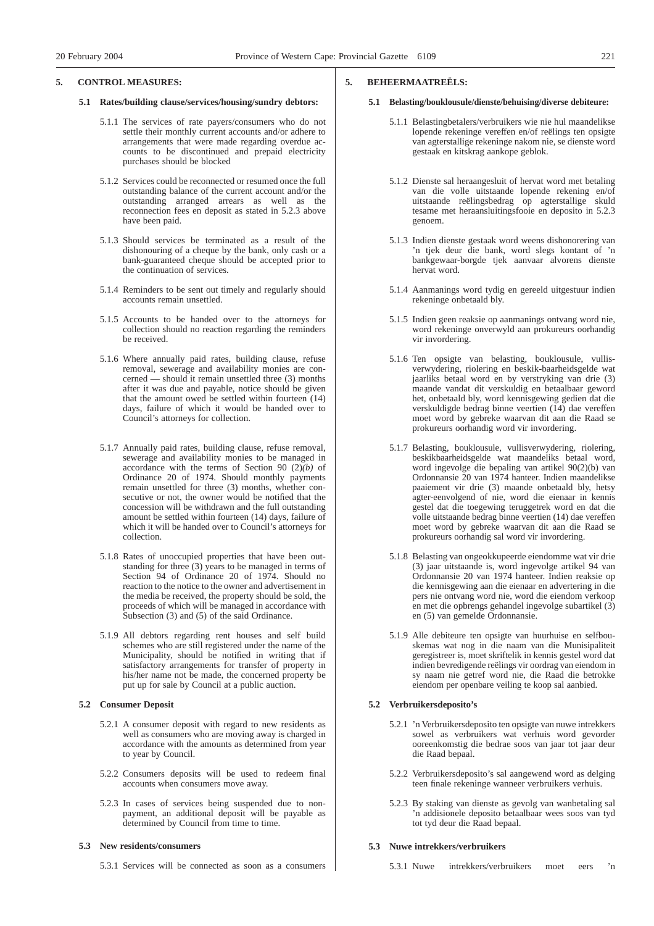#### **5. CONTROL MEASURES:**

- **5.1 Rates/building clause/services/housing/sundry debtors:**
	- 5.1.1 The services of rate payers/consumers who do not settle their monthly current accounts and/or adhere to arrangements that were made regarding overdue accounts to be discontinued and prepaid electricity purchases should be blocked
	- 5.1.2 Services could be reconnected or resumed once the full outstanding balance of the current account and/or the outstanding arranged arrears as well as the reconnection fees en deposit as stated in 5.2.3 above have been paid.
	- 5.1.3 Should services be terminated as a result of the dishonouring of a cheque by the bank, only cash or a bank-guaranteed cheque should be accepted prior to the continuation of services.
	- 5.1.4 Reminders to be sent out timely and regularly should accounts remain unsettled.
	- 5.1.5 Accounts to be handed over to the attorneys for collection should no reaction regarding the reminders be received.
	- 5.1.6 Where annually paid rates, building clause, refuse removal, sewerage and availability monies are concerned — should it remain unsettled three (3) months after it was due and payable, notice should be given that the amount owed be settled within fourteen (14) days, failure of which it would be handed over to Council's attorneys for collection.
	- 5.1.7 Annually paid rates, building clause, refuse removal, sewerage and availability monies to be managed in accordance with the terms of Section 90  $(2)(b)$  of Ordinance 20 of 1974. Should monthly payments remain unsettled for three (3) months, whether consecutive or not, the owner would be notified that the concession will be withdrawn and the full outstanding amount be settled within fourteen (14) days, failure of which it will be handed over to Council's attorneys for collection.
	- 5.1.8 Rates of unoccupied properties that have been outstanding for three (3) years to be managed in terms of Section 94 of Ordinance 20 of 1974. Should no reaction to the notice to the owner and advertisement in the media be received, the property should be sold, the proceeds of which will be managed in accordance with Subsection (3) and (5) of the said Ordinance.
	- 5.1.9 All debtors regarding rent houses and self build schemes who are still registered under the name of the Municipality, should be notified in writing that if satisfactory arrangements for transfer of property in his/her name not be made, the concerned property be put up for sale by Council at a public auction.

#### **5.2 Consumer Deposit**

- 5.2.1 A consumer deposit with regard to new residents as well as consumers who are moving away is charged in accordance with the amounts as determined from year to year by Council.
- 5.2.2 Consumers deposits will be used to redeem final accounts when consumers move away.
- 5.2.3 In cases of services being suspended due to nonpayment, an additional deposit will be payable as determined by Council from time to time.

#### **5.3 New residents/consumers**

5.3.1 Services will be connected as soon as a consumers

#### **5. BEHEERMAATREËLS:**

#### **5.1 Belasting/bouklousule/dienste/behuising/diverse debiteure:**

- 5.1.1 Belastingbetalers/verbruikers wie nie hul maandelikse lopende rekeninge vereffen en/of reëlings ten opsigte van agterstallige rekeninge nakom nie, se dienste word gestaak en kitskrag aankope geblok.
- 5.1.2 Dienste sal heraangesluit of hervat word met betaling van die volle uitstaande lopende rekening en/of uitstaande reëlingsbedrag op agterstallige skuld tesame met heraansluitingsfooie en deposito in 5.2.3 genoem.
- 5.1.3 Indien dienste gestaak word weens dishonorering van 'n tjek deur die bank, word slegs kontant of 'n bankgewaar-borgde tjek aanvaar alvorens dienste hervat word.
- 5.1.4 Aanmanings word tydig en gereeld uitgestuur indien rekeninge onbetaald bly.
- 5.1.5 Indien geen reaksie op aanmanings ontvang word nie, word rekeninge onverwyld aan prokureurs oorhandig vir invordering.
- 5.1.6 Ten opsigte van belasting, bouklousule, vullisverwydering, riolering en beskik-baarheidsgelde wat jaarliks betaal word en by verstryking van drie (3) maande vandat dit verskuldig en betaalbaar geword het, onbetaald bly, word kennisgewing gedien dat die verskuldigde bedrag binne veertien (14) dae vereffen moet word by gebreke waarvan dit aan die Raad se prokureurs oorhandig word vir invordering.
- 5.1.7 Belasting, bouklousule, vullisverwydering, riolering, beskikbaarheidsgelde wat maandeliks betaal word, word ingevolge die bepaling van artikel 90(2)(b) van Ordonnansie 20 van 1974 hanteer. Indien maandelikse paaiement vir drie (3) maande onbetaald bly, hetsy agter-eenvolgend of nie, word die eienaar in kennis gestel dat die toegewing teruggetrek word en dat die volle uitstaande bedrag binne veertien (14) dae vereffen moet word by gebreke waarvan dit aan die Raad se prokureurs oorhandig sal word vir invordering.
- 5.1.8 Belasting van ongeokkupeerde eiendomme wat vir drie (3) jaar uitstaande is, word ingevolge artikel 94 van Ordonnansie 20 van 1974 hanteer. Indien reaksie op die kennisgewing aan die eienaar en advertering in die pers nie ontvang word nie, word die eiendom verkoop en met die opbrengs gehandel ingevolge subartikel (3) en (5) van gemelde Ordonnansie.
- 5.1.9 Alle debiteure ten opsigte van huurhuise en selfbouskemas wat nog in die naam van die Munisipaliteit geregistreer is, moet skriftelik in kennis gestel word dat indien bevredigende reëlings vir oordrag van eiendom in sy naam nie getref word nie, die Raad die betrokke eiendom per openbare veiling te koop sal aanbied.

#### **5.2 Verbruikersdeposito's**

- 5.2.1 'n Verbruikersdeposito ten opsigte van nuwe intrekkers sowel as verbruikers wat verhuis word gevorder ooreenkomstig die bedrae soos van jaar tot jaar deur die Raad bepaal.
- 5.2.2 Verbruikersdeposito's sal aangewend word as delging teen finale rekeninge wanneer verbruikers verhuis.
- 5.2.3 By staking van dienste as gevolg van wanbetaling sal 'n addisionele deposito betaalbaar wees soos van tyd tot tyd deur die Raad bepaal.

#### **5.3 Nuwe intrekkers/verbruikers**

5.3.1 Nuwe intrekkers/verbruikers moet eers 'n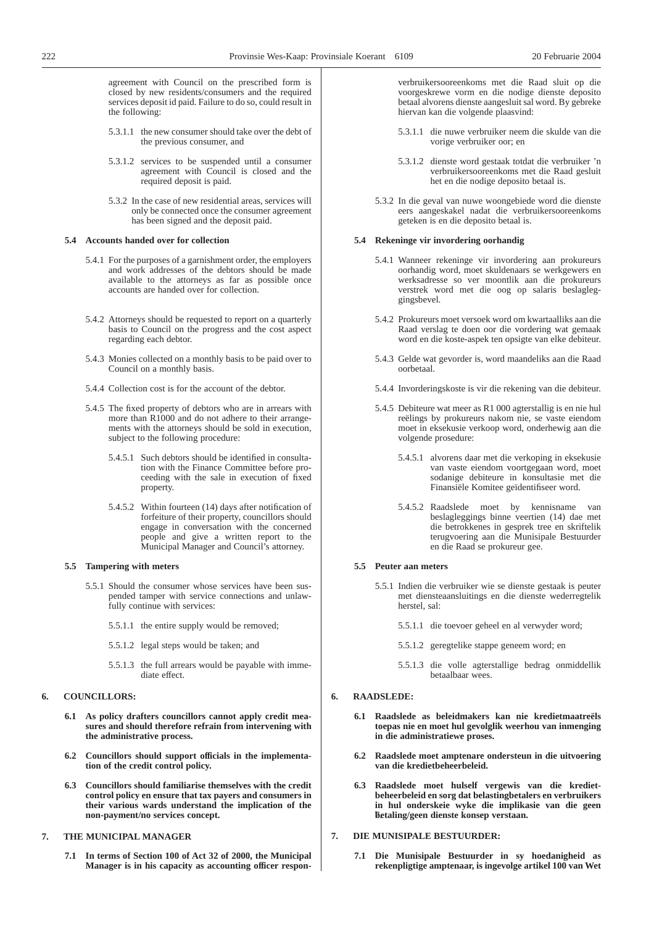agreement with Council on the prescribed form is closed by new residents/consumers and the required services deposit id paid. Failure to do so, could result in the following:

- 5.3.1.1 the new consumer should take over the debt of the previous consumer, and
- 5.3.1.2 services to be suspended until a consumer agreement with Council is closed and the required deposit is paid.
- 5.3.2 In the case of new residential areas, services will only be connected once the consumer agreement has been signed and the deposit paid.

#### **5.4 Accounts handed over for collection**

- 5.4.1 For the purposes of a garnishment order, the employers and work addresses of the debtors should be made available to the attorneys as far as possible once accounts are handed over for collection.
- 5.4.2 Attorneys should be requested to report on a quarterly basis to Council on the progress and the cost aspect regarding each debtor.
- 5.4.3 Monies collected on a monthly basis to be paid over to Council on a monthly basis.
- 5.4.4 Collection cost is for the account of the debtor.
- 5.4.5 The fixed property of debtors who are in arrears with more than R1000 and do not adhere to their arrangements with the attorneys should be sold in execution, subject to the following procedure:
	- 5.4.5.1 Such debtors should be identified in consultation with the Finance Committee before proceeding with the sale in execution of fixed property.
	- 5.4.5.2 Within fourteen (14) days after notification of forfeiture of their property, councillors should engage in conversation with the concerned people and give a written report to the Municipal Manager and Council's attorney.

#### **5.5 Tampering with meters**

- 5.5.1 Should the consumer whose services have been suspended tamper with service connections and unlawfully continue with services:
	- 5.5.1.1 the entire supply would be removed;
	- 5.5.1.2 legal steps would be taken; and
	- 5.5.1.3 the full arrears would be payable with immediate effect.

#### **6. COUNCILLORS:**

- **6.1 As policy drafters councillors cannot apply credit measures and should therefore refrain from intervening with the administrative process.**
- **6.2 Councillors should support officials in the implementation of the credit control policy.**
- **6.3 Councillors should familiarise themselves with the credit control policy en ensure that tax payers and consumers in their various wards understand the implication of the non-payment/no services concept.**

#### **7. THE MUNICIPAL MANAGER**

**7.1 In terms of Section 100 of Act 32 of 2000, the Municipal Manager is in his capacity as accounting officer respon-** verbruikersooreenkoms met die Raad sluit op die voorgeskrewe vorm en die nodige dienste deposito betaal alvorens dienste aangesluit sal word. By gebreke hiervan kan die volgende plaasvind:

- 5.3.1.1 die nuwe verbruiker neem die skulde van die vorige verbruiker oor; en
- 5.3.1.2 dienste word gestaak totdat die verbruiker 'n verbruikersooreenkoms met die Raad gesluit het en die nodige deposito betaal is.
- 5.3.2 In die geval van nuwe woongebiede word die dienste eers aangeskakel nadat die verbruikersooreenkoms geteken is en die deposito betaal is.

#### **5.4 Rekeninge vir invordering oorhandig**

- 5.4.1 Wanneer rekeninge vir invordering aan prokureurs oorhandig word, moet skuldenaars se werkgewers en werksadresse so ver moontlik aan die prokureurs verstrek word met die oog op salaris beslagleggingsbevel.
- 5.4.2 Prokureurs moet versoek word om kwartaalliks aan die Raad verslag te doen oor die vordering wat gemaak word en die koste-aspek ten opsigte van elke debiteur.
- 5.4.3 Gelde wat gevorder is, word maandeliks aan die Raad oorbetaal.
- 5.4.4 Invorderingskoste is vir die rekening van die debiteur.
- 5.4.5 Debiteure wat meer as R1 000 agterstallig is en nie hul reëlings by prokureurs nakom nie, se vaste eiendom moet in eksekusie verkoop word, onderhewig aan die volgende prosedure:
	- 5.4.5.1 alvorens daar met die verkoping in eksekusie van vaste eiendom voortgegaan word, moet sodanige debiteure in konsultasie met die Finansiële Komitee geïdentifiseer word.
	- 5.4.5.2 Raadslede moet by kennisname van beslagleggings binne veertien (14) dae met die betrokkenes in gesprek tree en skriftelik terugvoering aan die Munisipale Bestuurder en die Raad se prokureur gee.

#### **5.5 Peuter aan meters**

- 5.5.1 Indien die verbruiker wie se dienste gestaak is peuter met diensteaansluitings en die dienste wederregtelik herstel, sal:
	- 5.5.1.1 die toevoer geheel en al verwyder word;
	- 5.5.1.2 geregtelike stappe geneem word; en
	- 5.5.1.3 die volle agterstallige bedrag onmiddellik betaalbaar wees.

#### **6. RAADSLEDE:**

- **6.1 Raadslede as beleidmakers kan nie kredietmaatreëls toepas nie en moet hul gevolglik weerhou van inmenging in die administratiewe proses.**
- **6.2 Raadslede moet amptenare ondersteun in die uitvoering van die kredietbeheerbeleid.**
- **6.3 Raadslede moet hulself vergewis van die kredietbeheerbeleid en sorg dat belastingbetalers en verbruikers in hul onderskeie wyke die implikasie van die geen betaling/geen dienste konsep verstaan.** 7.

#### **7. DIE MUNISIPALE BESTUURDER:**

**7.1 Die Munisipale Bestuurder in sy hoedanigheid as rekenpligtige amptenaar, is ingevolge artikel 100 van Wet**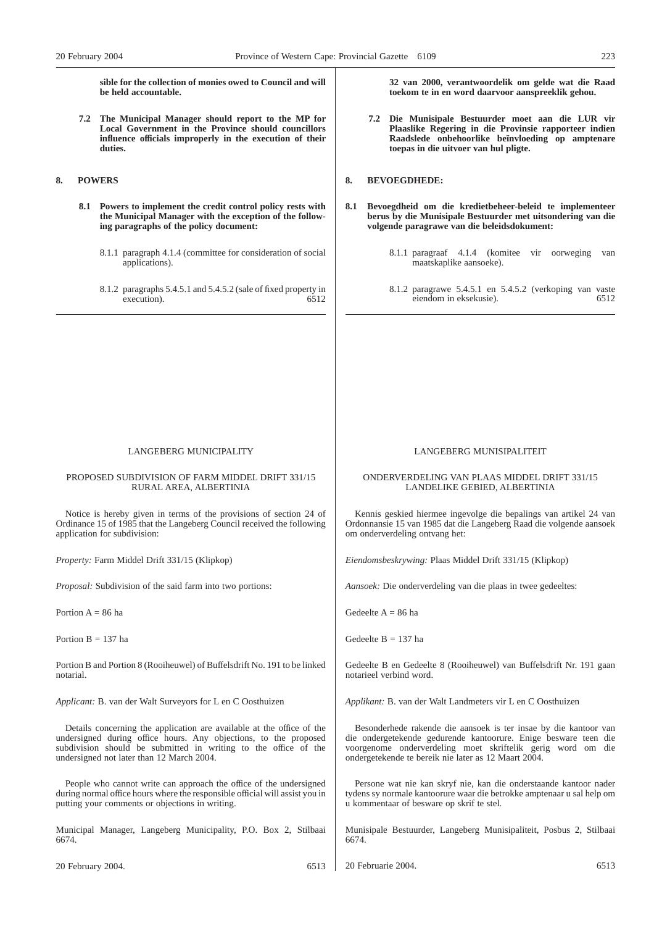**sible for the collection of monies owed to Council and will be held accountable.**

**7.2 The Municipal Manager should report to the MP for Local Government in the Province should councillors influence officials improperly in the execution of their duties.**

### **8. POWERS**

- **8.1 Powers to implement the credit control policy rests with the Municipal Manager with the exception of the following paragraphs of the policy document:**
	- 8.1.1 paragraph 4.1.4 (committee for consideration of social applications).
	- 8.1.2 paragraphs 5.4.5.1 and 5.4.5.2 (sale of fixed property in execution). 6512

**32 van 2000, verantwoordelik om gelde wat die Raad toekom te in en word daarvoor aanspreeklik gehou.**

**7.2 Die Munisipale Bestuurder moet aan die LUR vir Plaaslike Regering in die Provinsie rapporteer indien Raadslede onbehoorlike beïnvloeding op amptenare toepas in die uitvoer van hul pligte.**

#### **8. BEVOEGDHEDE:**

- **8.1 Bevoegdheid om die kredietbeheer-beleid te implementeer berus by die Munisipale Bestuurder met uitsondering van die volgende paragrawe van die beleidsdokument:**
	- 8.1.1 paragraaf 4.1.4 (komitee vir oorweging van maatskaplike aansoeke).
	- 8.1.2 paragrawe 5.4.5.1 en 5.4.5.2 (verkoping van vaste eiendom in eksekusie).

#### LANGEBERG MUNICIPALITY

#### PROPOSED SUBDIVISION OF FARM MIDDEL DRIFT 331/15 RURAL AREA, ALBERTINIA

Notice is hereby given in terms of the provisions of section 24 of Ordinance 15 of 1985 that the Langeberg Council received the following application for subdivision:

*Property:* Farm Middel Drift 331/15 (Klipkop)

*Proposal:* Subdivision of the said farm into two portions:

Portion  $A = 86$  ha

Portion  $B = 137$  ha

Portion B and Portion 8 (Rooiheuwel) of Buffelsdrift No. 191 to be linked notarial.

*Applicant:* B. van der Walt Surveyors for L en C Oosthuizen

Details concerning the application are available at the office of the undersigned during office hours. Any objections, to the proposed subdivision should be submitted in writing to the office of the undersigned not later than 12 March 2004.

People who cannot write can approach the office of the undersigned during normal office hours where the responsible official will assist you in putting your comments or objections in writing.

Municipal Manager, Langeberg Municipality, P.O. Box 2, Stilbaai 6674.

20 February 2004. 6513

LANGEBERG MUNISIPALITEIT

#### ONDERVERDELING VAN PLAAS MIDDEL DRIFT 331/15 LANDELIKE GEBIED, ALBERTINIA

Kennis geskied hiermee ingevolge die bepalings van artikel 24 van Ordonnansie 15 van 1985 dat die Langeberg Raad die volgende aansoek om onderverdeling ontvang het:

*Eiendomsbeskrywing:* Plaas Middel Drift 331/15 (Klipkop)

*Aansoek:* Die onderverdeling van die plaas in twee gedeeltes:

Gedeelte  $A = 86$  ha

Gedeelte  $B = 137$  ha

Gedeelte B en Gedeelte 8 (Rooiheuwel) van Buffelsdrift Nr. 191 gaan notarieel verbind word.

*Applikant:* B. van der Walt Landmeters vir L en C Oosthuizen

Besonderhede rakende die aansoek is ter insae by die kantoor van die ondergetekende gedurende kantoorure. Enige besware teen die voorgenome onderverdeling moet skriftelik gerig word om die ondergetekende te bereik nie later as 12 Maart 2004.

Persone wat nie kan skryf nie, kan die onderstaande kantoor nader tydens sy normale kantoorure waar die betrokke amptenaar u sal help om u kommentaar of besware op skrif te stel.

Munisipale Bestuurder, Langeberg Munisipaliteit, Posbus 2, Stilbaai 6674.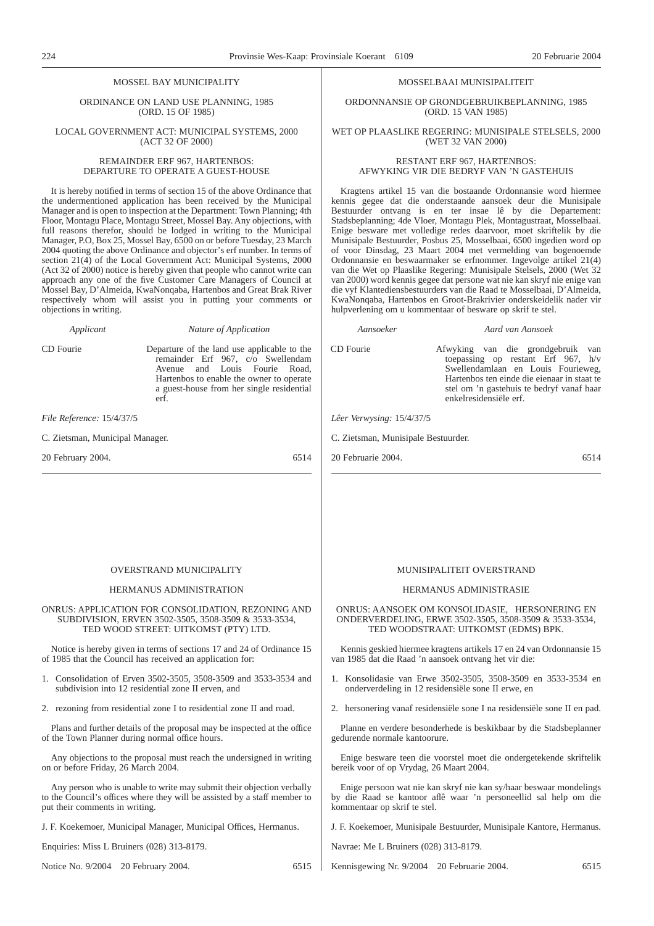### MOSSEL BAY MUNICIPALITY

ORDINANCE ON LAND USE PLANNING, 1985 (ORD. 15 OF 1985)

LOCAL GOVERNMENT ACT: MUNICIPAL SYSTEMS, 2000 (ACT 32 OF 2000)

#### REMAINDER ERF 967, HARTENBOS: DEPARTURE TO OPERATE A GUEST-HOUSE

It is hereby notified in terms of section 15 of the above Ordinance that the undermentioned application has been received by the Municipal Manager and is open to inspection at the Department: Town Planning; 4th Floor, Montagu Place, Montagu Street, Mossel Bay. Any objections, with full reasons therefor, should be lodged in writing to the Municipal Manager, P.O, Box 25, Mossel Bay, 6500 on or before Tuesday, 23 March 2004 quoting the above Ordinance and objector's erf number. In terms of section 21(4) of the Local Government Act: Municipal Systems, 2000 (Act 32 of 2000) notice is hereby given that people who cannot write can approach any one of the five Customer Care Managers of Council at Mossel Bay, D'Almeida, KwaNonqaba, Hartenbos and Great Brak River respectively whom will assist you in putting your comments or objections in writing.

erf.

*Applicant Nature of Application*

CD Fourie Departure of the land use applicable to the

remainder Erf 967, c/o Swellendam Avenue and Louis Fourie Road, Hartenbos to enable the owner to operate a guest-house from her single residential

CD Fourie Afwyking van die grondgebruik van toepassing op restant Erf 967, h/v Swellendamlaan en Louis Fourieweg,

*File Reference:* 15/4/37/5

C. Zietsman, Municipal Manager.

20 February 2004. 6514

#### OVERSTRAND MUNICIPALITY

#### HERMANUS ADMINISTRATION

ONRUS: APPLICATION FOR CONSOLIDATION, REZONING AND SUBDIVISION, ERVEN 3502-3505, 3508-3509 & 3533-3534, TED WOOD STREET: UITKOMST (PTY) LTD.

Notice is hereby given in terms of sections 17 and 24 of Ordinance 15 of 1985 that the Council has received an application for:

- 1. Consolidation of Erven 3502-3505, 3508-3509 and 3533-3534 and subdivision into 12 residential zone II erven, and
- 2. rezoning from residential zone I to residential zone II and road.

Plans and further details of the proposal may be inspected at the office of the Town Planner during normal office hours.

Any objections to the proposal must reach the undersigned in writing on or before Friday, 26 March 2004.

Any person who is unable to write may submit their objection verbally to the Council's offices where they will be assisted by a staff member to put their comments in writing.

J. F. Koekemoer, Municipal Manager, Municipal Offices, Hermanus.

Enquiries: Miss L Bruiners (028) 313-8179.

Notice No. 9/2004 20 February 2004. 6515

#### MUNISIPALITEIT OVERSTRAND

#### HERMANUS ADMINISTRASIE

ONRUS: AANSOEK OM KONSOLIDASIE, HERSONERING EN ONDERVERDELING, ERWE 3502-3505, 3508-3509 & 3533-3534, TED WOODSTRAAT: UITKOMST (EDMS) BPK.

Kennis geskied hiermee kragtens artikels 17 en 24 van Ordonnansie 15 van 1985 dat die Raad 'n aansoek ontvang het vir die:

- 1. Konsolidasie van Erwe 3502-3505, 3508-3509 en 3533-3534 en onderverdeling in 12 residensiële sone II erwe, en
- 2. hersonering vanaf residensiële sone I na residensiële sone II en pad.

Planne en verdere besonderhede is beskikbaar by die Stadsbeplanner gedurende normale kantoorure.

Enige besware teen die voorstel moet die ondergetekende skriftelik bereik voor of op Vrydag, 26 Maart 2004.

Enige persoon wat nie kan skryf nie kan sy/haar beswaar mondelings by die Raad se kantoor aflê waar 'n personeellid sal help om die kommentaar op skrif te stel.

J. F. Koekemoer, Munisipale Bestuurder, Munisipale Kantore, Hermanus.

Navrae: Me L Bruiners (028) 313-8179.

Kennisgewing Nr. 9/2004 20 Februarie 2004. 6515

*Lêer Verwysing:* 15/4/37/5 C. Zietsman, Munisipale Bestuurder.

Hartenbos ten einde die eienaar in staat te stel om 'n gastehuis te bedryf vanaf haar enkelresidensiële erf.

20 Februarie 2004. 6514

MOSSELBAAI MUNISIPALITEIT

ORDONNANSIE OP GRONDGEBRUIKBEPLANNING, 1985 (ORD. 15 VAN 1985)

#### WET OP PLAASLIKE REGERING: MUNISIPALE STELSELS, 2000 (WET 32 VAN 2000)

#### RESTANT ERF 967, HARTENBOS: AFWYKING VIR DIE BEDRYF VAN 'N GASTEHUIS

Kragtens artikel 15 van die bostaande Ordonnansie word hiermee kennis gegee dat die onderstaande aansoek deur die Munisipale Bestuurder ontvang is en ter insae lê by die Departement: Stadsbeplanning; 4de Vloer, Montagu Plek, Montagustraat, Mosselbaai. Enige besware met volledige redes daarvoor, moet skriftelik by die Munisipale Bestuurder, Posbus 25, Mosselbaai, 6500 ingedien word op of voor Dinsdag, 23 Maart 2004 met vermelding van bogenoemde Ordonnansie en beswaarmaker se erfnommer. Ingevolge artikel 21(4) van die Wet op Plaaslike Regering: Munisipale Stelsels, 2000 (Wet 32 van 2000) word kennis gegee dat persone wat nie kan skryf nie enige van die vyf Klantediensbestuurders van die Raad te Mosselbaai, D'Almeida, KwaNonqaba, Hartenbos en Groot-Brakrivier onderskeidelik nader vir hulpverlening om u kommentaar of besware op skrif te stel.

#### *Aansoeker Aard van Aansoek*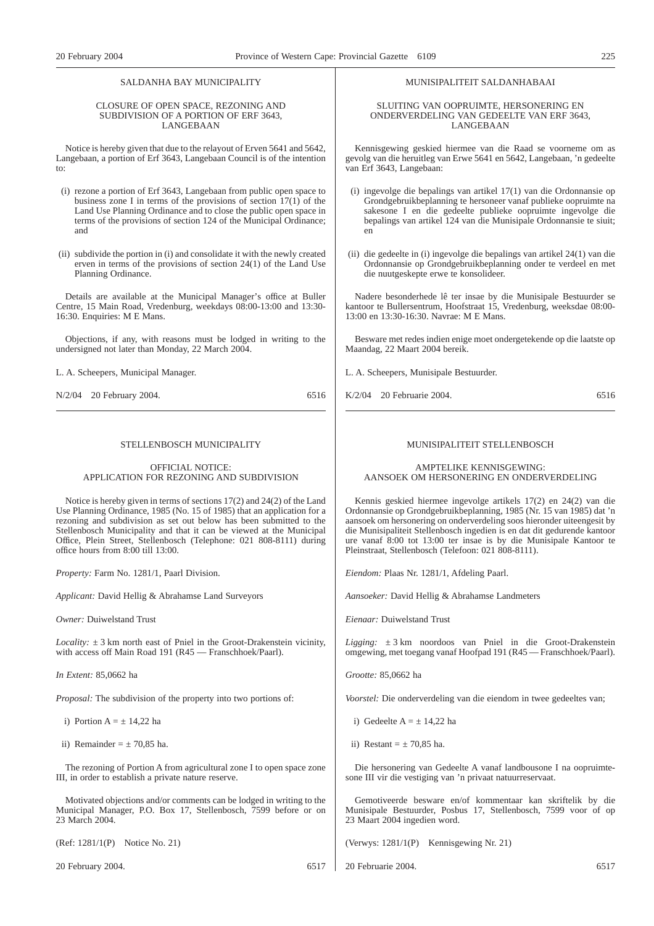#### SALDANHA BAY MUNICIPALITY

#### CLOSURE OF OPEN SPACE, REZONING AND SUBDIVISION OF A PORTION OF ERF 3643, LANGEBAAN

Notice is hereby given that due to the relayout of Erven 5641 and 5642, Langebaan, a portion of Erf 3643, Langebaan Council is of the intention to:

- (i) rezone a portion of Erf 3643, Langebaan from public open space to business zone I in terms of the provisions of section 17(1) of the Land Use Planning Ordinance and to close the public open space in terms of the provisions of section 124 of the Municipal Ordinance; and
- (ii) subdivide the portion in (i) and consolidate it with the newly created erven in terms of the provisions of section 24(1) of the Land Use Planning Ordinance.

Details are available at the Municipal Manager's office at Buller Centre, 15 Main Road, Vredenburg, weekdays 08:00-13:00 and 13:30- 16:30. Enquiries: M E Mans.

Objections, if any, with reasons must be lodged in writing to the undersigned not later than Monday, 22 March 2004.

L. A. Scheepers, Municipal Manager.

N/2/04 20 February 2004. 6516

#### STELLENBOSCH MUNICIPALITY

#### OFFICIAL NOTICE: APPLICATION FOR REZONING AND SUBDIVISION

Notice is hereby given in terms of sections 17(2) and 24(2) of the Land Use Planning Ordinance, 1985 (No. 15 of 1985) that an application for a rezoning and subdivision as set out below has been submitted to the Stellenbosch Municipality and that it can be viewed at the Municipal Office, Plein Street, Stellenbosch (Telephone: 021 808-8111) during office hours from 8:00 till 13:00.

*Property:* Farm No. 1281/1, Paarl Division.

*Applicant:* David Hellig & Abrahamse Land Surveyors

*Owner:* Duiwelstand Trust

*Locality:*  $\pm$  3 km north east of Pniel in the Groot-Drakenstein vicinity, with access off Main Road 191 (R45 — Franschhoek/Paarl).

*In Extent:* 85,0662 ha

*Proposal:* The subdivision of the property into two portions of:

i) Portion  $A = +14.22$  has

ii) Remainder  $= \pm 70.85$  ha.

The rezoning of Portion A from agricultural zone I to open space zone III, in order to establish a private nature reserve.

Motivated objections and/or comments can be lodged in writing to the Municipal Manager, P.O. Box 17, Stellenbosch, 7599 before or on 23 March 2004.

(Ref: 1281/1(P) Notice No. 21)

20 February 2004. 6517

#### MUNISIPALITEIT SALDANHABAAI

#### SLUITING VAN OOPRUIMTE, HERSONERING EN ONDERVERDELING VAN GEDEELTE VAN ERF 3643, LANGEBAAN

Kennisgewing geskied hiermee van die Raad se voorneme om as gevolg van die heruitleg van Erwe 5641 en 5642, Langebaan, 'n gedeelte van Erf 3643, Langebaan:

- (i) ingevolge die bepalings van artikel 17(1) van die Ordonnansie op Grondgebruikbeplanning te hersoneer vanaf publieke oopruimte na sakesone I en die gedeelte publieke oopruimte ingevolge die bepalings van artikel 124 van die Munisipale Ordonnansie te siuit; en
- (ii) die gedeelte in (i) ingevolge die bepalings van artikel 24(1) van die Ordonnansie op Grondgebruikbeplanning onder te verdeel en met die nuutgeskepte erwe te konsolideer.

Nadere besonderhede lê ter insae by die Munisipale Bestuurder se kantoor te Bullersentrum, Hoofstraat 15, Vredenburg, weeksdae 08:00- 13:00 en 13:30-16:30. Navrae: M E Mans.

Besware met redes indien enige moet ondergetekende op die laatste op Maandag, 22 Maart 2004 bereik.

L. A. Scheepers, Munisipale Bestuurder.

K/2/04 20 Februarie 2004. 6516

#### MUNISIPALITEIT STELLENBOSCH

#### AMPTELIKE KENNISGEWING: AANSOEK OM HERSONERING EN ONDERVERDELING

Kennis geskied hiermee ingevolge artikels 17(2) en 24(2) van die Ordonnansie op Grondgebruikbeplanning, 1985 (Nr. 15 van 1985) dat 'n aansoek om hersonering on onderverdeling soos hieronder uiteengesit by die Munisipaliteit Stellenbosch ingedien is en dat dit gedurende kantoor ure vanaf 8:00 tot 13:00 ter insae is by die Munisipale Kantoor te Pleinstraat, Stellenbosch (Telefoon: 021 808-8111).

*Eiendom:* Plaas Nr. 1281/1, Afdeling Paarl.

*Aansoeker:* David Hellig & Abrahamse Landmeters

*Eienaar:* Duiwelstand Trust

*Ligging:* ± 3 km noordoos van Pniel in die Groot-Drakenstein omgewing, met toegang vanaf Hoofpad 191 (R45 — Franschhoek/Paarl).

*Grootte:* 85,0662 ha

*Voorstel:* Die onderverdeling van die eiendom in twee gedeeltes van;

- i) Gedeelte A =  $+$  14.22 ha
- ii) Restant  $= \pm 70.85$  ha.

Die hersonering van Gedeelte A vanaf landbousone I na oopruimtesone III vir die vestiging van 'n privaat natuurreservaat.

Gemotiveerde besware en/of kommentaar kan skriftelik by die Munisipale Bestuurder, Posbus 17, Stellenbosch, 7599 voor of op 23 Maart 2004 ingedien word.

(Verwys: 1281/1(P) Kennisgewing Nr. 21)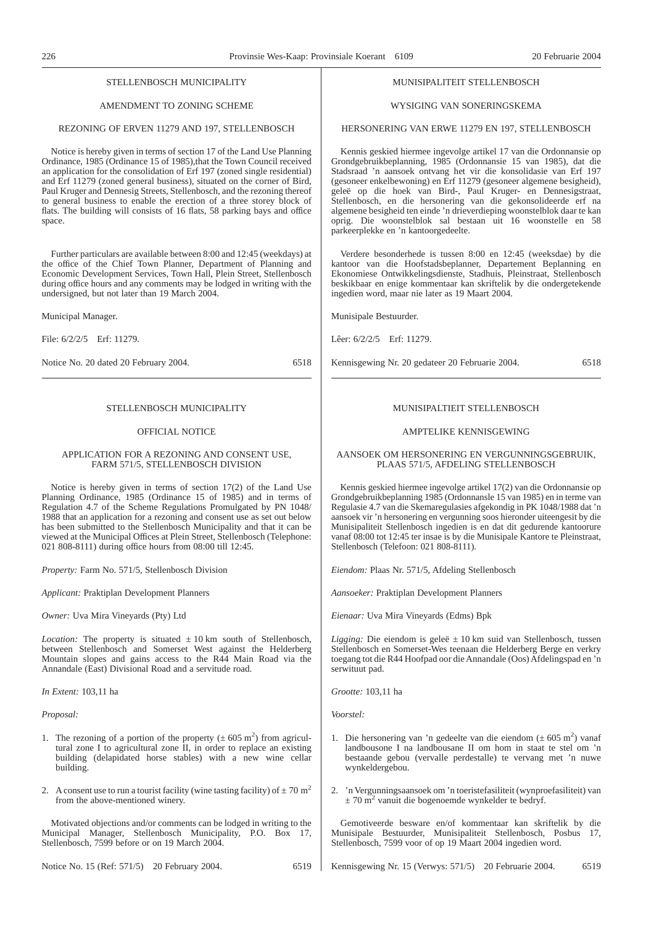#### STELLENBOSCH MUNICIPALITY

#### AMENDMENT TO ZONING SCHEME

#### REZONING OF ERVEN 11279 AND 197, STELLENBOSCH

Notice is hereby given in terms of section 17 of the Land Use Planning Ordinance, 1985 (Ordinance 15 of 1985), that the Town Council received an application for the consolidation of Erf 197 (zoned single residential) and Erf 11279 (zoned general business), situated on the corner of Bird, Paul Kruger and Dennesig Streets, Stellenbosch, and the rezoning thereof to general business to enable the erection of a three storey block of flats. The building will consists of 16 flats, 58 parking bays and office space.

Further particulars are available between 8:00 and 12:45 (weekdays) at the office of the Chief Town Planner, Department of Planning and Economic Development Services, Town Hall, Plein Street, Stellenbosch during office hours and any comments may be lodged in writing with the undersigned, but not later than 19 March 2004.

Municipal Manager.

File: 6/2/2/5 Erf: 11279.

Notice No. 20 dated 20 February 2004. 6518

#### STELLENBOSCH MUNICIPALITY

#### OFFICIAL NOTICE

#### APPLICATION FOR A REZONING AND CONSENT USE, FARM 571/5, STELLENBOSCH DIVISION

Notice is hereby given in terms of section 17(2) of the Land Use Planning Ordinance, 1985 (Ordinance 15 of 1985) and in terms of Regulation 4.7 of the Scheme Regulations Promulgated by PN 1048/ 1988 that an application for a rezoning and consent use as set out below has been submitted to the Stellenbosch Municipality and that it can be viewed at the Municipal Offices at Plein Street, Stellenbosch (Telephone: 021 808-8111) during office hours from 08:00 till 12:45.

*Property:* Farm No. 571/5, Stellenbosch Division

*Applicant:* Praktiplan Development Planners

*Owner:* Uva Mira Vineyards (Pty) Ltd

*Location:* The property is situated  $\pm 10$  km south of Stellenbosch, between Stellenbosch and Somerset West against the Helderberg Mountain slopes and gains access to the R44 Main Road via the Annandale (East) Divisional Road and a servitude road.

*In Extent:* 103,11 ha

*Proposal:*

- 1. The rezoning of a portion of the property  $(\pm 605 \text{ m}^2)$  from agricultural zone I to agricultural zone II, in order to replace an existing building (delapidated horse stables) with a new wine cellar building.
- 2. A consent use to run a tourist facility (wine tasting facility) of  $\pm$  70 m<sup>2</sup> from the above-mentioned winery.

Motivated objections and/or comments can be lodged in writing to the Municipal Manager, Stellenbosch Municipality, P.O. Box 17, Stellenbosch, 7599 before or on 19 March 2004.

Notice No. 15 (Ref: 571/5) 20 February 2004. 6519

#### MUNISIPALITEIT STELLENBOSCH

#### WYSIGING VAN SONERINGSKEMA

#### HERSONERING VAN ERWE 11279 EN 197, STELLENBOSCH

Kennis geskied hiermee ingevolge artikel 17 van die Ordonnansie op Grondgebruikbeplanning, 1985 (Ordonnansie 15 van 1985), dat die Stadsraad 'n aansoek ontvang het vir die konsolidasie van Erf 197 (gesoneer enkelbewoning) en Erf 11279 (gesoneer algemene besigheid), geleë op die hoek van Bird-, Paul Kruger- en Dennesigstraat, Stellenbosch, en die hersonering van die gekonsolideerde erf na algemene besigheid ten einde 'n drieverdieping woonstelblok daar te kan oprig. Die woonstelblok sal bestaan uit 16 woonstelle en 58 parkeerplekke en 'n kantoorgedeelte.

Verdere besonderhede is tussen 8:00 en 12:45 (weeksdae) by die kantoor van die Hoofstadsbeplanner, Departement Beplanning en Ekonomiese Ontwikkelingsdienste, Stadhuis, Pleinstraat, Stellenbosch beskikbaar en enige kommentaar kan skriftelik by die ondergetekende ingedien word, maar nie later as 19 Maart 2004.

Munisipale Bestuurder.

Lêer: 6/2/2/5 Erf: 11279.

Kennisgewing Nr. 20 gedateer 20 Februarie 2004. 6518

#### MUNISIPALTIEIT STELLENBOSCH

#### AMPTELIKE KENNISGEWING

#### AANSOEK OM HERSONERING EN VERGUNNINGSGEBRUIK, PLAAS 571/5, AFDELING STELLENBOSCH

Kennis geskied hiermee ingevolge artikel 17(2) van die Ordonnansie op Grondgebruikbeplanning 1985 (Ordonnansle 15 van 1985) en in terme van Regulasie 4.7 van die Skemaregulasies afgekondig in PK 1048/1988 dat 'n aansoek vir 'n hersonering en vergunning soos hieronder uiteengesit by die Munisipaliteit Stellenbosch ingedien is en dat dit gedurende kantoorure vanaf 08:00 tot 12:45 ter insae is by die Munisipale Kantore te Pleinstraat, Stellenbosch (Telefoon: 021 808-8111).

*Eiendom:* Plaas Nr. 571/5, Afdeling Stellenbosch

*Aansoeker:* Praktiplan Development Planners

*Eienaar:* Uva Mira Vineyards (Edms) Bpk

*Ligging:* Die eiendom is geleë  $\pm 10$  km suid van Stellenbosch, tussen Stellenbosch en Somerset-Wes teenaan die Helderberg Berge en verkry toegang tot die R44 Hoofpad oor die Annandale (Oos) Afdelingspad en 'n serwituut pad.

*Grootte:* 103,11 ha

*Voorstel:*

- 1. Die hersonering van 'n gedeelte van die eiendom  $(\pm 605 \text{ m}^2)$  vanaf landbousone I na landbousane II om hom in staat te stel om 'n bestaande gebou (vervalle perdestalle) te vervang met 'n nuwe wynkeldergebou.
- 2. 'n Vergunningsaansoek om 'n toeristefasiliteit (wynproefasiliteit) van  $\pm$  70 m<sup>2</sup> vanuit die bogenoemde wynkelder te bedryf.

Gemotiveerde besware en/of kommentaar kan skriftelik by die Munisipale Bestuurder, Munisipaliteit Stellenbosch, Posbus 17, Stellenbosch, 7599 voor of op 19 Maart 2004 ingedien word.

Kennisgewing Nr. 15 (Verwys: 571/5) 20 Februarie 2004. 6519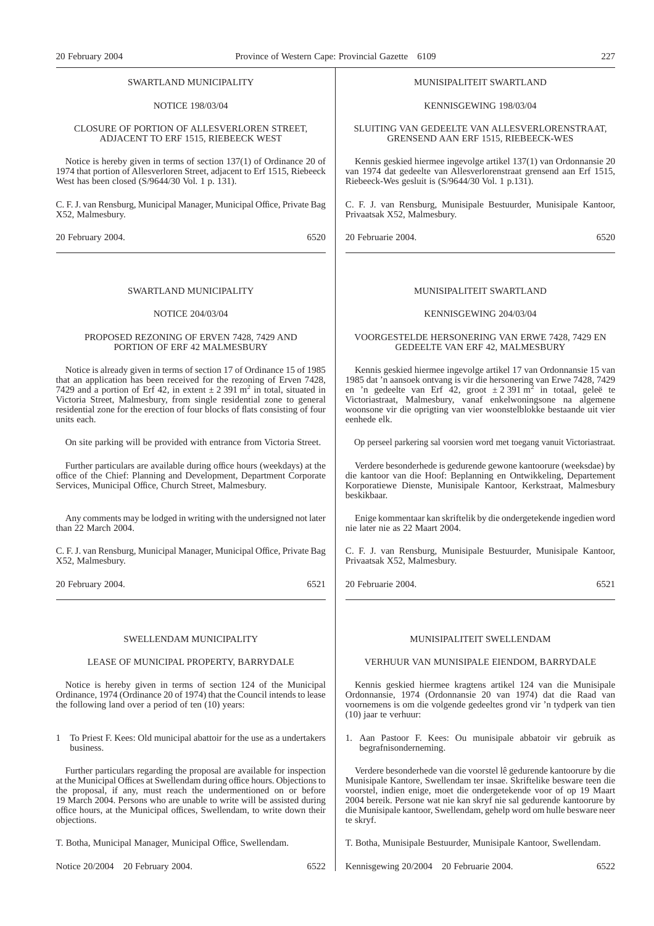#### SWARTLAND MUNICIPALITY

#### NOTICE 198/03/04

#### CLOSURE OF PORTION OF ALLESVERLOREN STREET, ADJACENT TO ERF 1515, RIEBEECK WEST

Notice is hereby given in terms of section 137(1) of Ordinance 20 of 1974 that portion of Allesverloren Street, adjacent to Erf 1515, Riebeeck West has been closed (S/9644/30 Vol. 1 p. 131).

C. F. J. van Rensburg, Municipal Manager, Municipal Office, Private Bag X52, Malmesbury.

20 February 2004. 6520

#### SWARTLAND MUNICIPALITY

#### NOTICE 204/03/04

#### PROPOSED REZONING OF ERVEN 7428, 7429 AND PORTION OF ERF 42 MALMESBURY

Notice is already given in terms of section 17 of Ordinance 15 of 1985 that an application has been received for the rezoning of Erven 7428, 7429 and a portion of Erf 42, in extent  $\pm 2.391$  m<sup>2</sup> in total, situated in Victoria Street, Malmesbury, from single residential zone to general residential zone for the erection of four blocks of flats consisting of four units each.

On site parking will be provided with entrance from Victoria Street.

Further particulars are available during office hours (weekdays) at the office of the Chief: Planning and Development, Department Corporate Services, Municipal Office, Church Street, Malmesbury.

Any comments may be lodged in writing with the undersigned not later than 22 March 2004.

C. F. J. van Rensburg, Municipal Manager, Municipal Office, Private Bag X52, Malmesbury.

20 February 2004. 6521

#### SWELLENDAM MUNICIPALITY

#### LEASE OF MUNICIPAL PROPERTY, BARRYDALE

Notice is hereby given in terms of section 124 of the Municipal Ordinance, 1974 (Ordinance 20 of 1974) that the Council intends to lease the following land over a period of ten (10) years:

1 To Priest F. Kees: Old municipal abattoir for the use as a undertakers business.

Further particulars regarding the proposal are available for inspection at the Municipal Offices at Swellendam during office hours. Objections to the proposal, if any, must reach the undermentioned on or before 19 March 2004. Persons who are unable to write will be assisted during office hours, at the Municipal offices, Swellendam, to write down their objections.

T. Botha, Municipal Manager, Municipal Office, Swellendam.

Notice 20/2004 20 February 2004. 6522

#### MUNISIPALITEIT SWARTLAND

#### KENNISGEWING 198/03/04

SLUITING VAN GEDEELTE VAN ALLESVERLORENSTRAAT, GRENSEND AAN ERF 1515, RIEBEECK-WES

Kennis geskied hiermee ingevolge artikel 137(1) van Ordonnansie 20 van 1974 dat gedeelte van Allesverlorenstraat grensend aan Erf 1515, Riebeeck-Wes gesluit is (S/9644/30 Vol. 1 p.131).

C. F. J. van Rensburg, Munisipale Bestuurder, Munisipale Kantoor, Privaatsak X52, Malmesbury.

20 Februarie 2004. 6520

#### MUNISIPALITEIT SWARTLAND

#### KENNISGEWING 204/03/04

#### VOORGESTELDE HERSONERING VAN ERWE 7428, 7429 EN GEDEELTE VAN ERF 42, MALMESBURY

Kennis geskied hiermee ingevolge artikel 17 van Ordonnansie 15 van 1985 dat 'n aansoek ontvang is vir die hersonering van Erwe 7428, 7429 en 'n gedeelte van Erf 42, groot  $\pm 2.391$  m<sup>2</sup> in totaal, geleë te Victoriastraat, Malmesbury, vanaf enkelwoningsone na algemene woonsone vir die oprigting van vier woonstelblokke bestaande uit vier eenhede elk.

Op perseel parkering sal voorsien word met toegang vanuit Victoriastraat.

Verdere besonderhede is gedurende gewone kantoorure (weeksdae) by die kantoor van die Hoof: Beplanning en Ontwikkeling, Departement Korporatiewe Dienste, Munisipale Kantoor, Kerkstraat, Malmesbury beskikbaar.

Enige kommentaar kan skriftelik by die ondergetekende ingedien word nie later nie as 22 Maart 2004.

C. F. J. van Rensburg, Munisipale Bestuurder, Munisipale Kantoor, Privaatsak X52, Malmesbury.

20 Februarie 2004. 6521

#### MUNISIPALITEIT SWELLENDAM

#### VERHUUR VAN MUNISIPALE EIENDOM, BARRYDALE

Kennis geskied hiermee kragtens artikel 124 van die Munisipale Ordonnansie, 1974 (Ordonnansie 20 van 1974) dat die Raad van voornemens is om die volgende gedeeltes grond vir 'n tydperk van tien (10) jaar te verhuur:

1. Aan Pastoor F. Kees: Ou munisipale abbatoir vir gebruik as begrafnisonderneming.

Verdere besonderhede van die voorstel lê gedurende kantoorure by die Munisipale Kantore, Swellendam ter insae. Skriftelike besware teen die voorstel, indien enige, moet die ondergetekende voor of op 19 Maart 2004 bereik. Persone wat nie kan skryf nie sal gedurende kantoorure by die Munisipale kantoor, Swellendam, gehelp word om hulle besware neer te skryf.

T. Botha, Munisipale Bestuurder, Munisipale Kantoor, Swellendam.

Kennisgewing 20/2004 20 Februarie 2004. 6522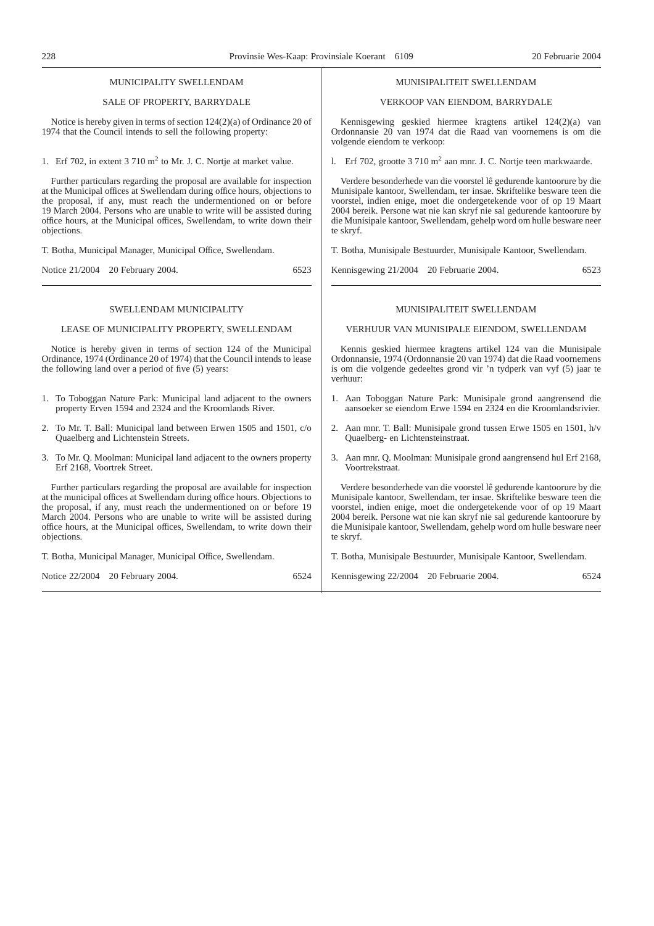| MUNICIPALITY SWELLENDAM                                                                                                                                                                            | MUNISIPALITEIT SWELLENDAM                                                                                                                                                                                                  |
|----------------------------------------------------------------------------------------------------------------------------------------------------------------------------------------------------|----------------------------------------------------------------------------------------------------------------------------------------------------------------------------------------------------------------------------|
| SALE OF PROPERTY, BARRYDALE                                                                                                                                                                        | VERKOOP VAN EIENDOM, BARRYDALE                                                                                                                                                                                             |
| Notice is hereby given in terms of section $124(2)(a)$ of Ordinance 20 of<br>1974 that the Council intends to sell the following property:                                                         | Kennisgewing geskied hiermee kragtens artikel 124(2)(a) van<br>Ordonnansie 20 van 1974 dat die Raad van voornemens is om die<br>volgende eiendom te verkoop:                                                               |
| 1. Erf 702, in extent 3 710 m <sup>2</sup> to Mr. J. C. Nortje at market value.                                                                                                                    | 1. Erf 702, grootte 3 710 m <sup>2</sup> aan mnr. J. C. Nortje teen markwaarde.                                                                                                                                            |
| Further particulars regarding the proposal are available for inspection                                                                                                                            | Verdere besonderhede van die voorstel lê gedurende kantoorure by die                                                                                                                                                       |
| at the Municipal offices at Swellendam during office hours, objections to                                                                                                                          | Munisipale kantoor, Swellendam, ter insae. Skriftelike besware teen die                                                                                                                                                    |
| the proposal, if any, must reach the undermentioned on or before                                                                                                                                   | voorstel, indien enige, moet die ondergetekende voor of op 19 Maart                                                                                                                                                        |
| 19 March 2004. Persons who are unable to write will be assisted during                                                                                                                             | 2004 bereik. Persone wat nie kan skryf nie sal gedurende kantoorure by                                                                                                                                                     |
| office hours, at the Municipal offices, Swellendam, to write down their                                                                                                                            | die Munisipale kantoor, Swellendam, gehelp word om hulle besware neer                                                                                                                                                      |
| objections.                                                                                                                                                                                        | te skryf.                                                                                                                                                                                                                  |
| T. Botha, Municipal Manager, Municipal Office, Swellendam.                                                                                                                                         | T. Botha, Munisipale Bestuurder, Munisipale Kantoor, Swellendam.                                                                                                                                                           |
| 6523                                                                                                                                                                                               | Kennisgewing 21/2004 20 Februarie 2004.                                                                                                                                                                                    |
| Notice 21/2004 20 February 2004.                                                                                                                                                                   | 6523                                                                                                                                                                                                                       |
| SWELLENDAM MUNICIPALITY                                                                                                                                                                            | MUNISIPALITEIT SWELLENDAM                                                                                                                                                                                                  |
| LEASE OF MUNICIPALITY PROPERTY, SWELLENDAM                                                                                                                                                         | VERHUUR VAN MUNISIPALE EIENDOM, SWELLENDAM                                                                                                                                                                                 |
| Notice is hereby given in terms of section 124 of the Municipal<br>Ordinance, 1974 (Ordinance 20 of 1974) that the Council intends to lease<br>the following land over a period of five (5) years: | Kennis geskied hiermee kragtens artikel 124 van die Munisipale<br>Ordonnansie, 1974 (Ordonnansie 20 van 1974) dat die Raad voornemens<br>is om die volgende gedeeltes grond vir 'n tydperk van vyf (5) jaar te<br>verhuur: |
| 1. To Toboggan Nature Park: Municipal land adjacent to the owners                                                                                                                                  | 1. Aan Toboggan Nature Park: Munisipale grond aangrensend die                                                                                                                                                              |
| property Erven 1594 and 2324 and the Kroomlands River.                                                                                                                                             | aansoeker se eiendom Erwe 1594 en 2324 en die Kroomlandsrivier.                                                                                                                                                            |
| 2. To Mr. T. Ball: Municipal land between Erwen 1505 and 1501, c/o                                                                                                                                 | 2. Aan mnr. T. Ball: Munisipale grond tussen Erwe 1505 en 1501, h/v                                                                                                                                                        |
| Quaelberg and Lichtenstein Streets.                                                                                                                                                                | Quaelberg- en Lichtensteinstraat.                                                                                                                                                                                          |
| 3. To Mr. Q. Moolman: Municipal land adjacent to the owners property                                                                                                                               | 3. Aan mnr. Q. Moolman: Munisipale grond aangrensend hul Erf 2168,                                                                                                                                                         |
| Erf 2168, Voortrek Street.                                                                                                                                                                         | Voortrekstraat.                                                                                                                                                                                                            |
| Further particulars regarding the proposal are available for inspection                                                                                                                            | Verdere besonderhede van die voorstel lê gedurende kantoorure by die                                                                                                                                                       |
| at the municipal offices at Swellendam during office hours. Objections to                                                                                                                          | Munisipale kantoor, Swellendam, ter insae. Skriftelike besware teen die                                                                                                                                                    |
| the proposal, if any, must reach the undermentioned on or before 19                                                                                                                                | voorstel, indien enige, moet die ondergetekende voor of op 19 Maart                                                                                                                                                        |
| March 2004. Persons who are unable to write will be assisted during                                                                                                                                | 2004 bereik. Persone wat nie kan skryf nie sal gedurende kantoorure by                                                                                                                                                     |
| office hours, at the Municipal offices, Swellendam, to write down their                                                                                                                            | die Munisipale kantoor, Swellendam, gehelp word om hulle besware neer                                                                                                                                                      |
| objections.                                                                                                                                                                                        | te skryf.                                                                                                                                                                                                                  |
| T. Botha, Municipal Manager, Municipal Office, Swellendam.                                                                                                                                         | T. Botha, Munisipale Bestuurder, Munisipale Kantoor, Swellendam.                                                                                                                                                           |
| Notice 22/2004 20 February 2004.                                                                                                                                                                   | Kennisgewing 22/2004 20 Februarie 2004.                                                                                                                                                                                    |
| 6524                                                                                                                                                                                               | 6524                                                                                                                                                                                                                       |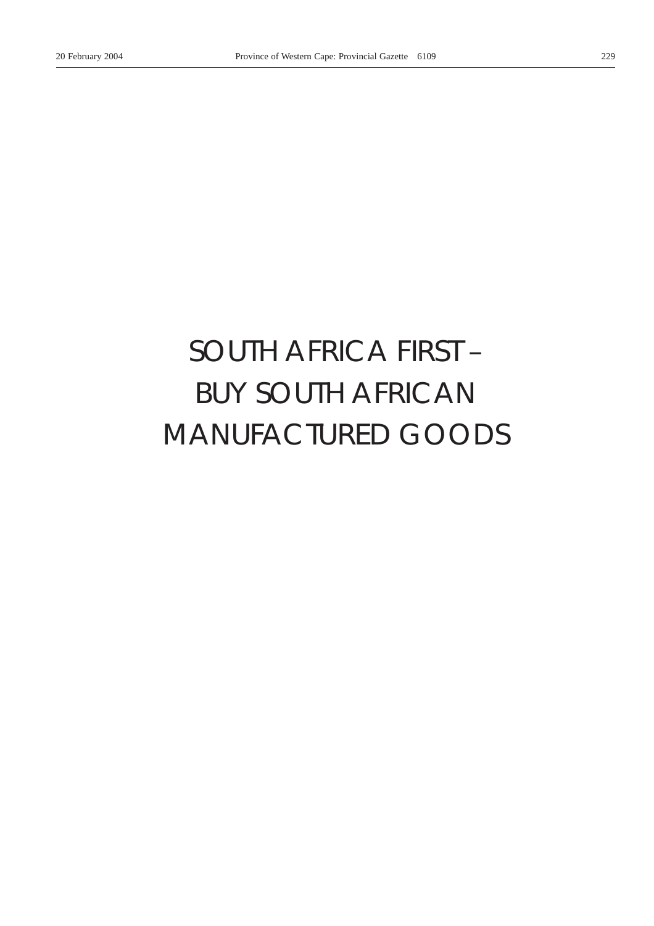# *SOUTH AFRICA FIRST –* BUY SOUTH AFRICAN MANUFACTURED GOODS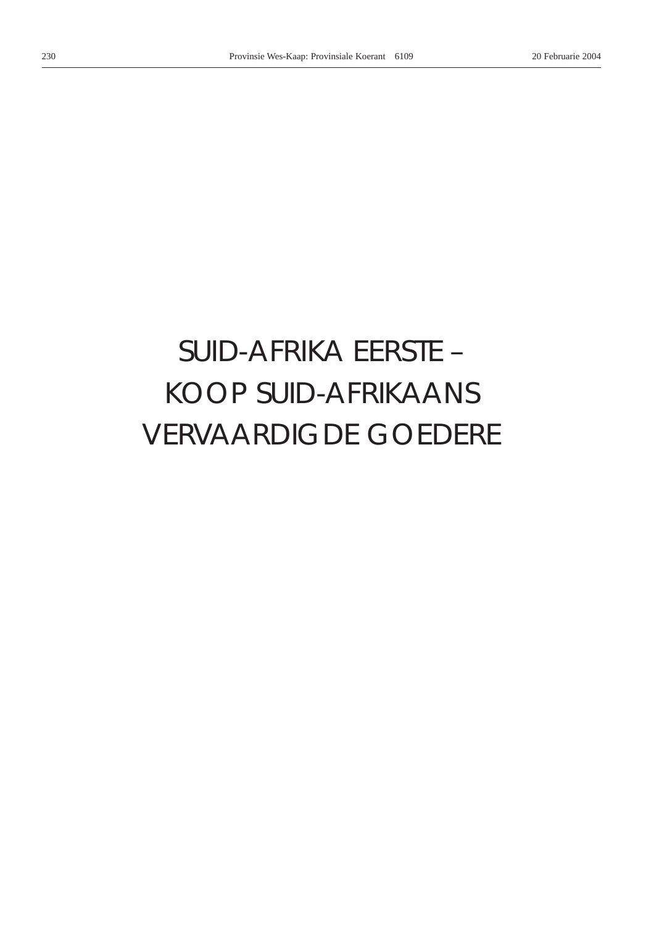# *SUID-AFRIKA EERSTE –* KOOP SUID-AFRIKAANS VERVAARDIGDE GOEDERE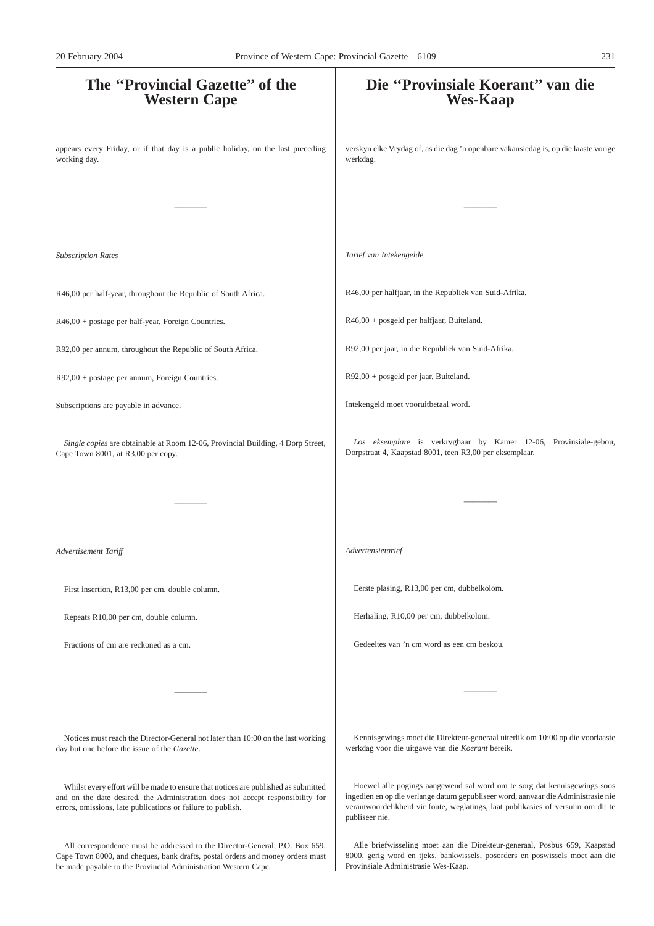# **The ''Provincial Gazette'' of the Western Cape** appears every Friday, or if that day is a public holiday, on the last preceding working day. ———— *Subscription Rates* R46,00 per half-year, throughout the Republic of South Africa. R46,00 + postage per half-year, Foreign Countries. R92,00 per annum, throughout the Republic of South Africa. R92,00 + postage per annum, Foreign Countries. Subscriptions are payable in advance. *Single copies* are obtainable at Room 12-06, Provincial Building, 4 Dorp Street, Cape Town 8001, at R3,00 per copy. ———— *Advertisement Tariff* First insertion, R13,00 per cm, double column. Repeats R10,00 per cm, double column. Fractions of cm are reckoned as a cm. ———— Notices must reach the Director-General not later than 10:00 on the last working day but one before the issue of the *Gazette*. Whilst every effort will be made to ensure that notices are published as submitted **Die ''Provinsiale Koerant'' van die Wes-Kaap** verskyn elke Vrydag of, as die dag 'n openbare vakansiedag is, op die laaste vorige werkdag. ———— *Tarief van Intekengelde* R46,00 per halfjaar, in the Republiek van Suid-Afrika. R46,00 + posgeld per halfjaar, Buiteland. R92,00 per jaar, in die Republiek van Suid-Afrika. R92,00 + posgeld per jaar, Buiteland. Intekengeld moet vooruitbetaal word. *Los eksemplare* is verkrygbaar by Kamer 12-06, Provinsiale-gebou, Dorpstraat 4, Kaapstad 8001, teen R3,00 per eksemplaar. ———— *Advertensietarief* Eerste plasing, R13,00 per cm, dubbelkolom. Herhaling, R10,00 per cm, dubbelkolom. Gedeeltes van 'n cm word as een cm beskou. ———— Kennisgewings moet die Direkteur-generaal uiterlik om 10:00 op die voorlaaste werkdag voor die uitgawe van die *Koerant* bereik. Hoewel alle pogings aangewend sal word om te sorg dat kennisgewings soos 20 February 2004 Province of Western Cape: Provincial Gazette 6109 231

publiseer nie.

and on the date desired, the Administration does not accept responsibility for errors, omissions, late publications or failure to publish.

All correspondence must be addressed to the Director-General, P.O. Box 659, Cape Town 8000, and cheques, bank drafts, postal orders and money orders must be made payable to the Provincial Administration Western Cape.

Alle briefwisseling moet aan die Direkteur-generaal, Posbus 659, Kaapstad 8000, gerig word en tjeks, bankwissels, posorders en poswissels moet aan die Provinsiale Administrasie Wes-Kaap.

ingedien en op die verlange datum gepubliseer word, aanvaar die Administrasie nie verantwoordelikheid vir foute, weglatings, laat publikasies of versuim om dit te